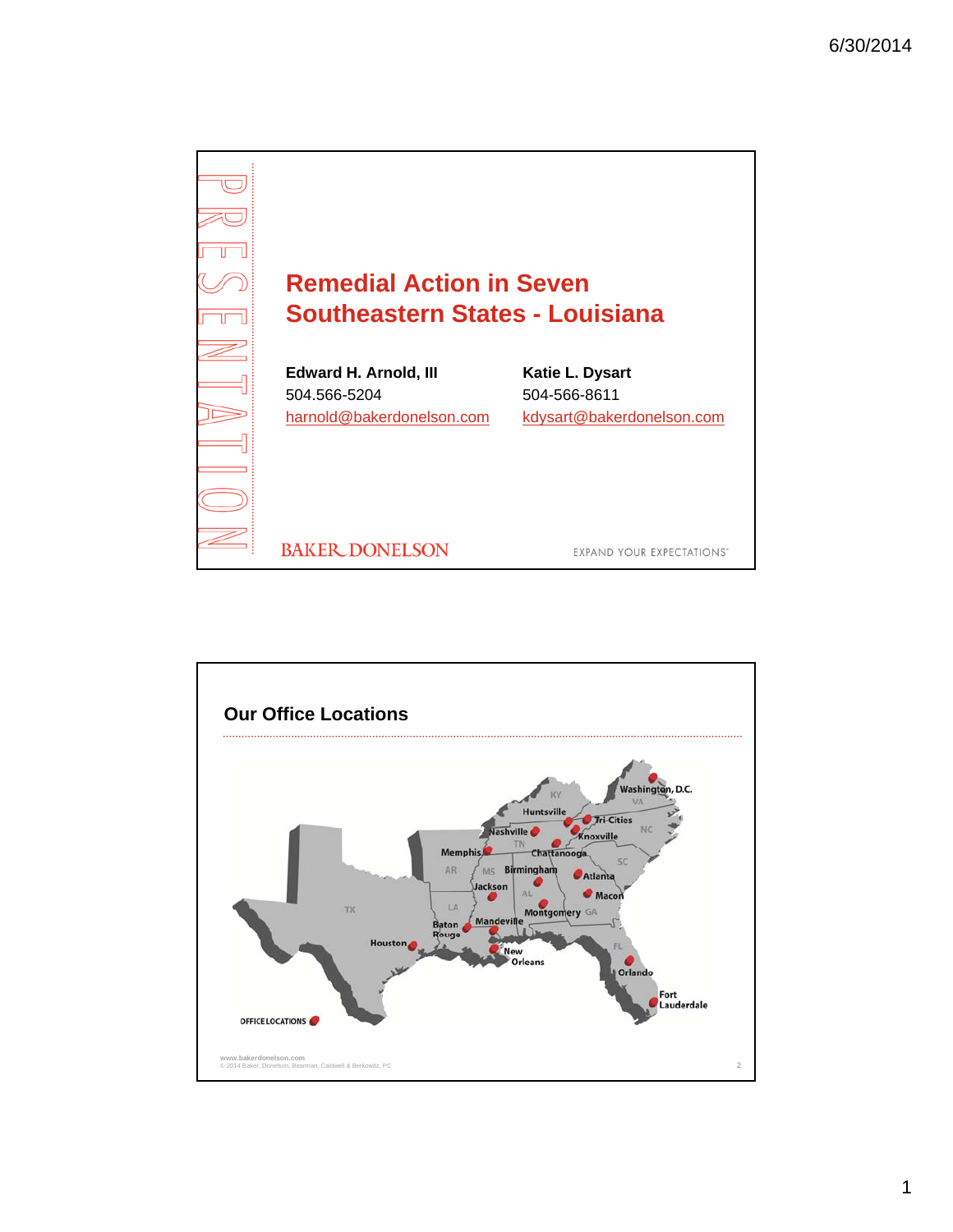

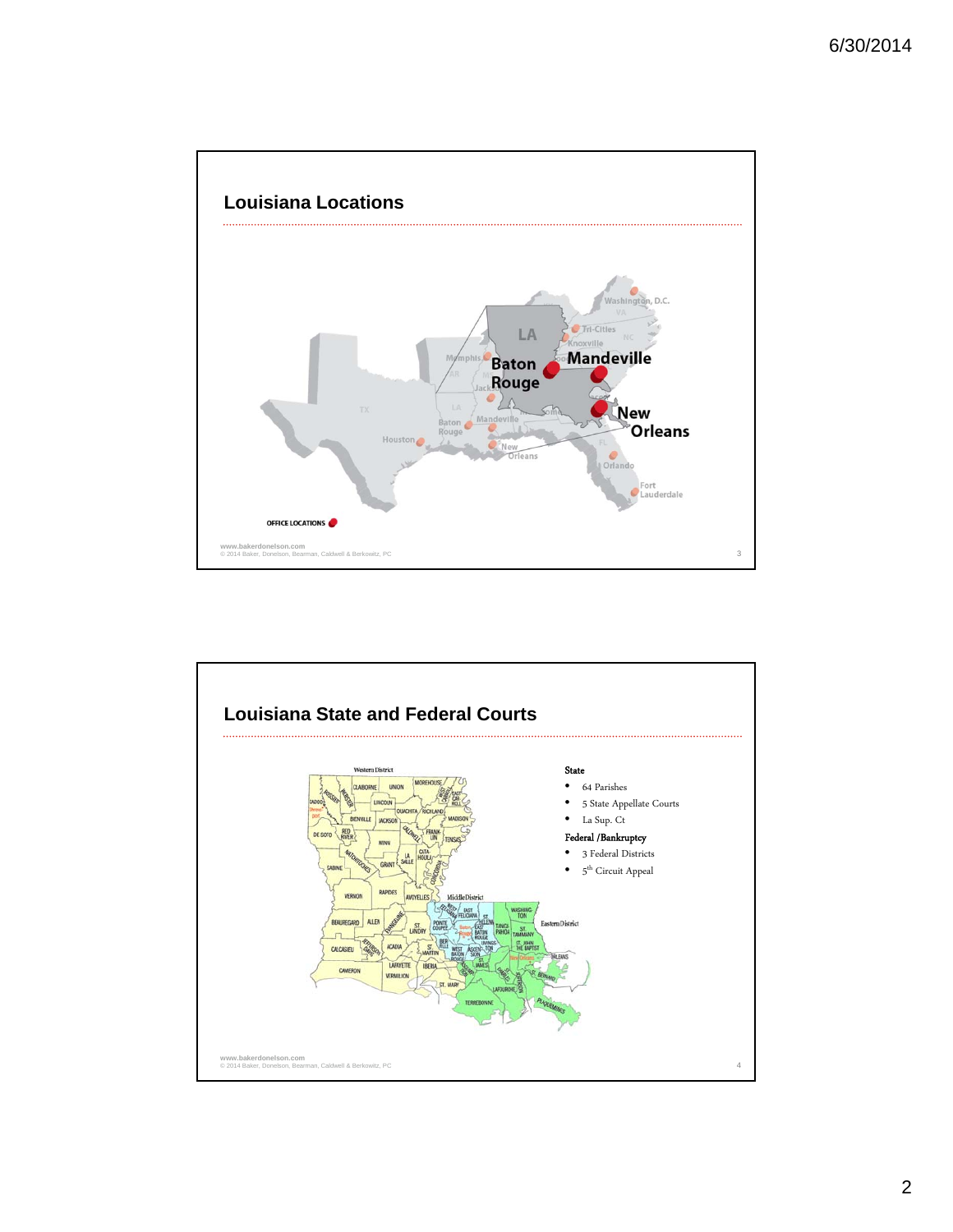

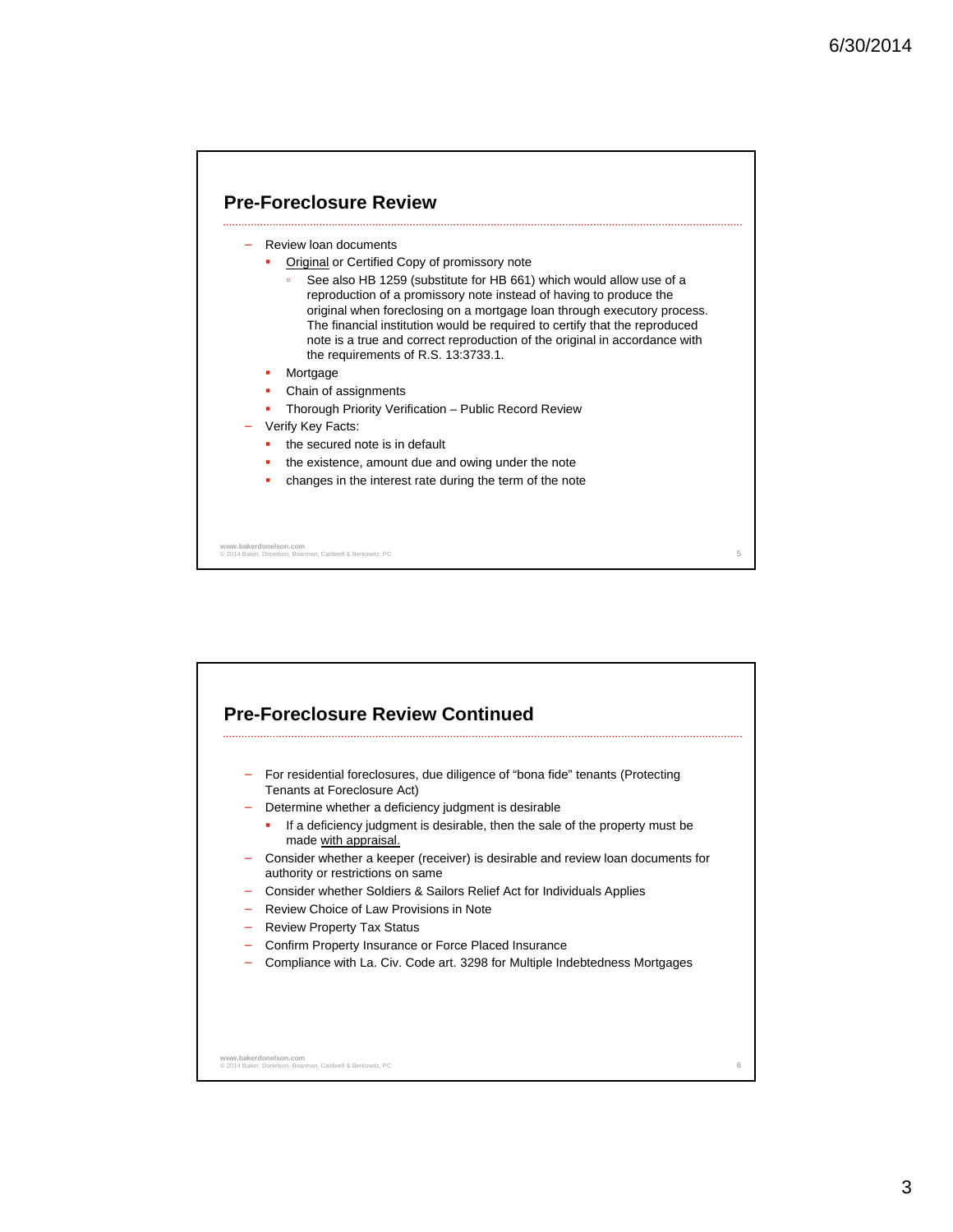



3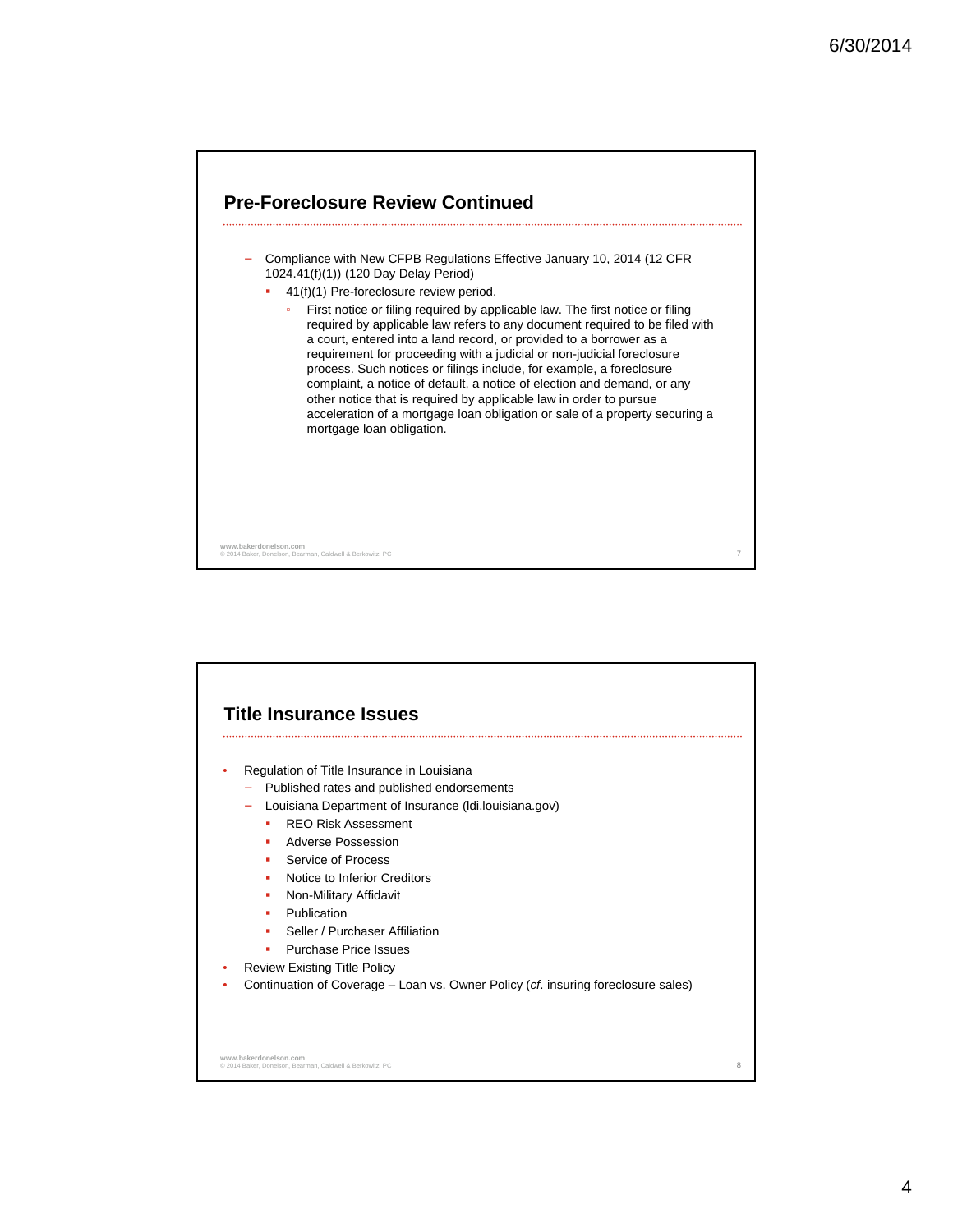

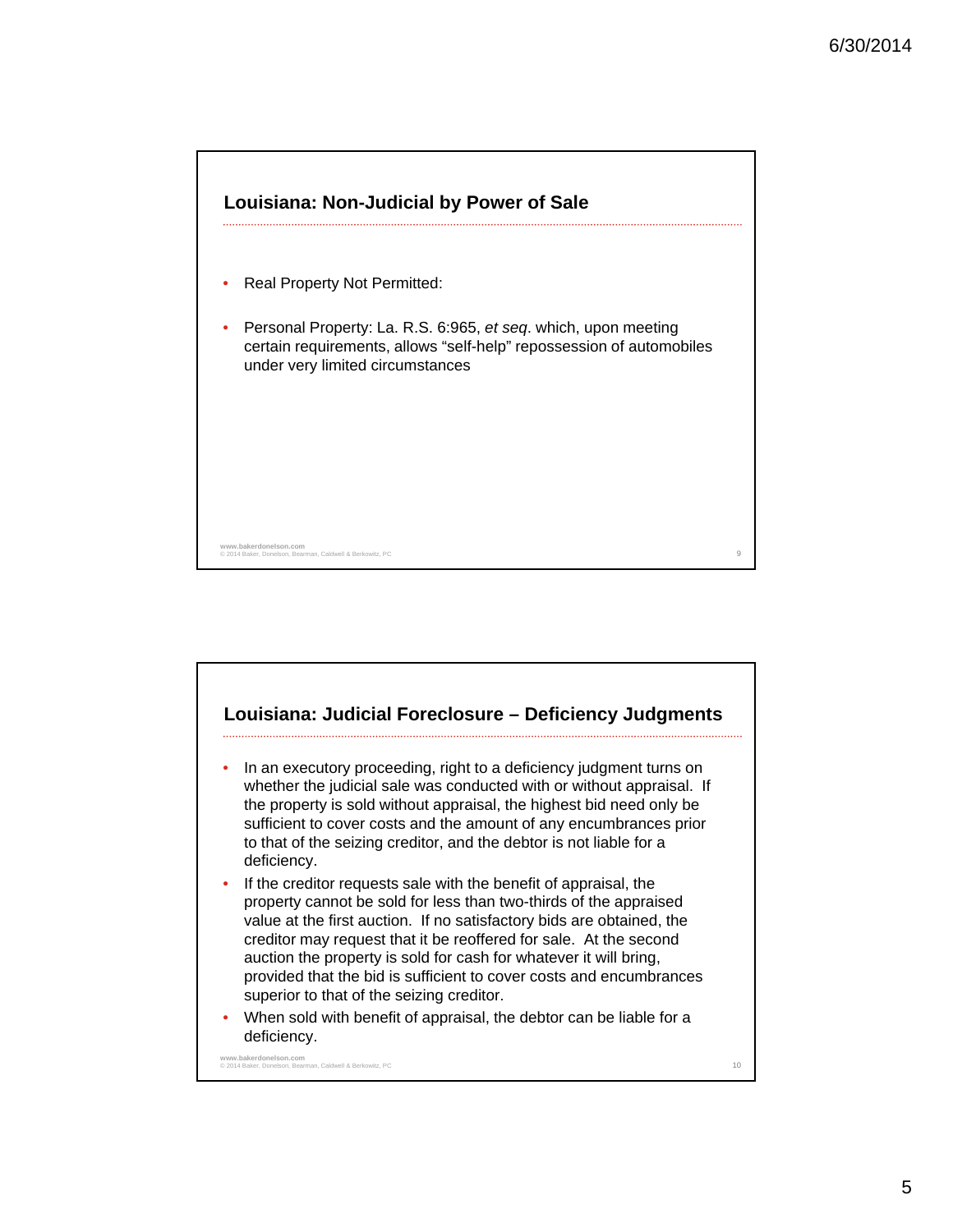

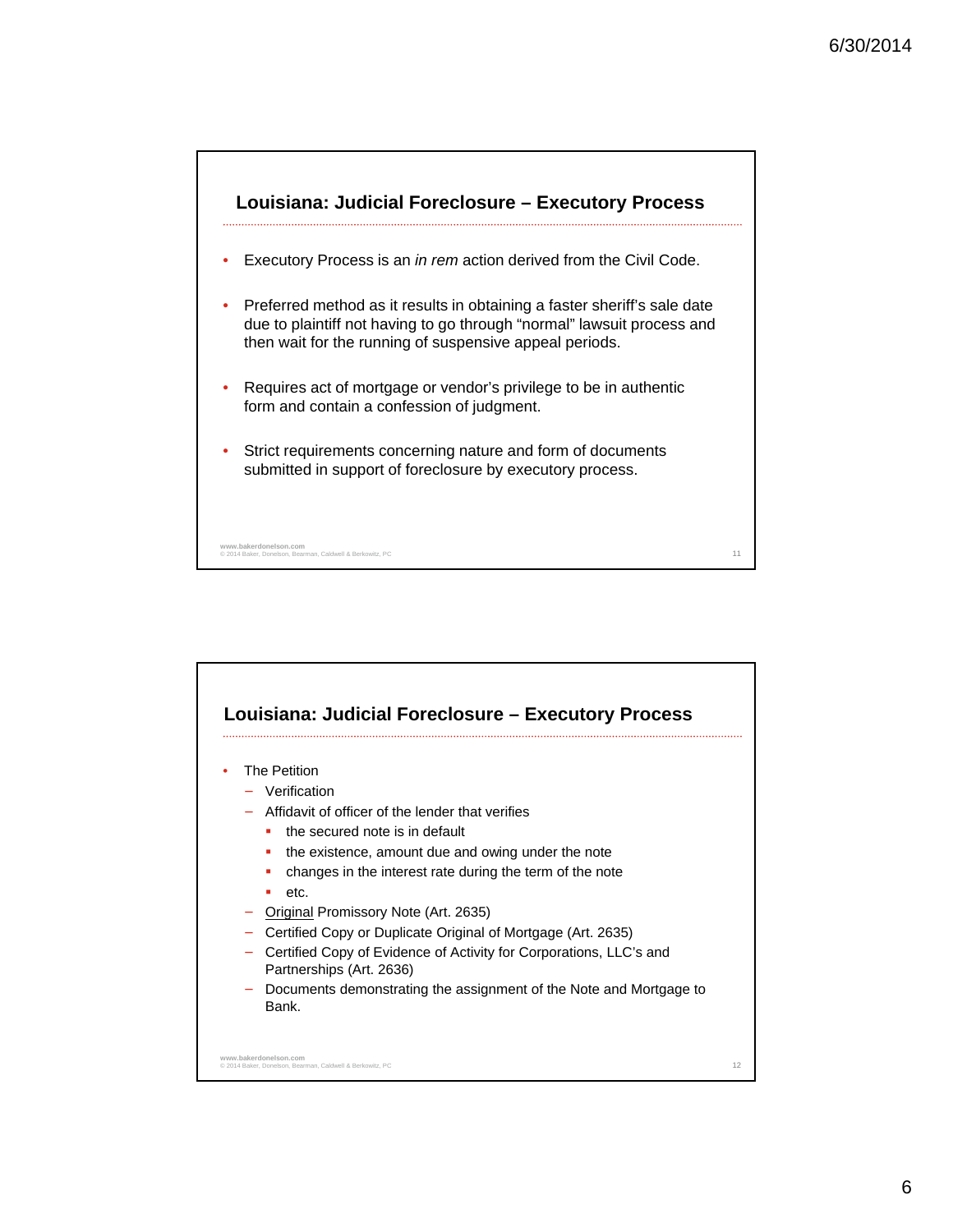

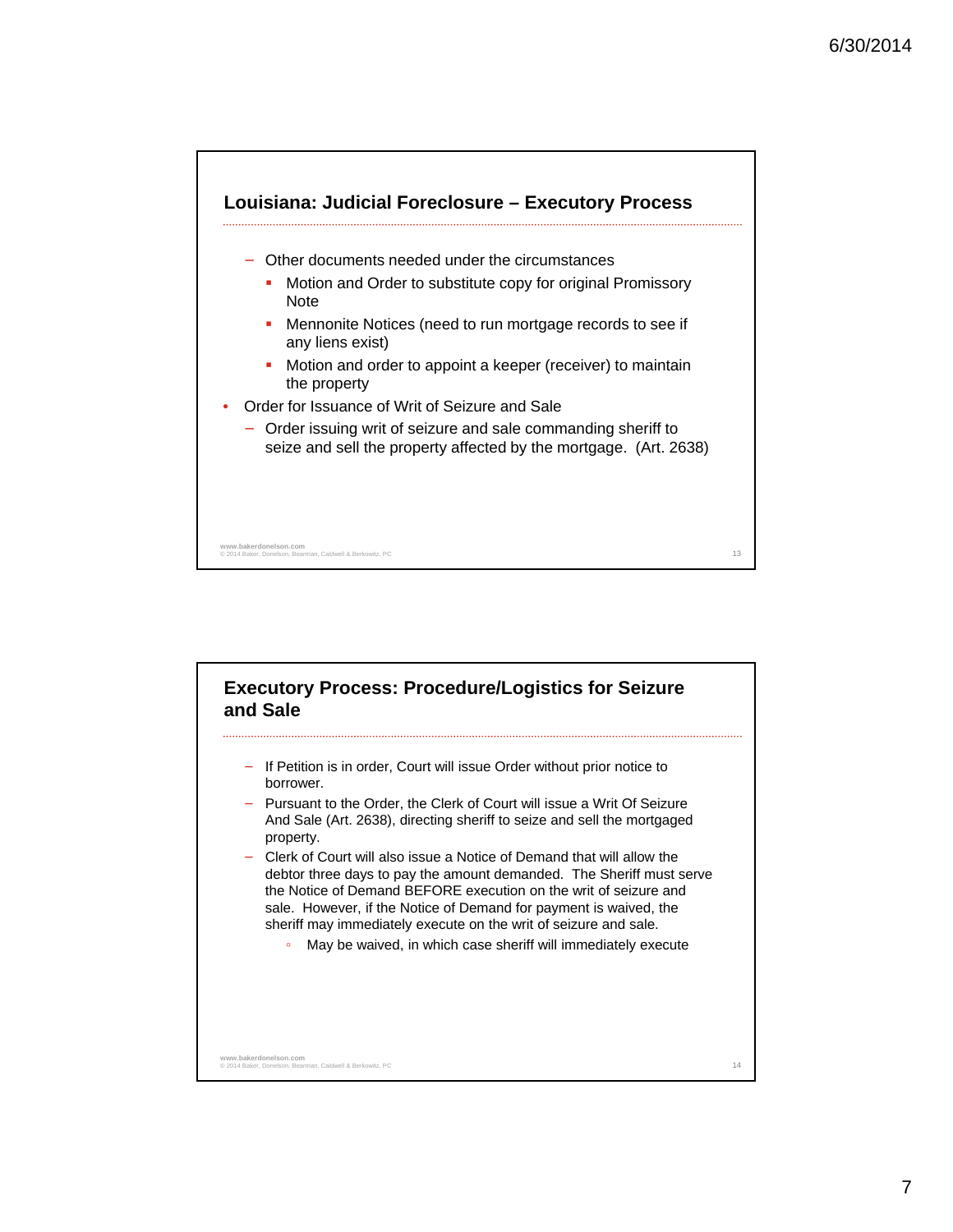

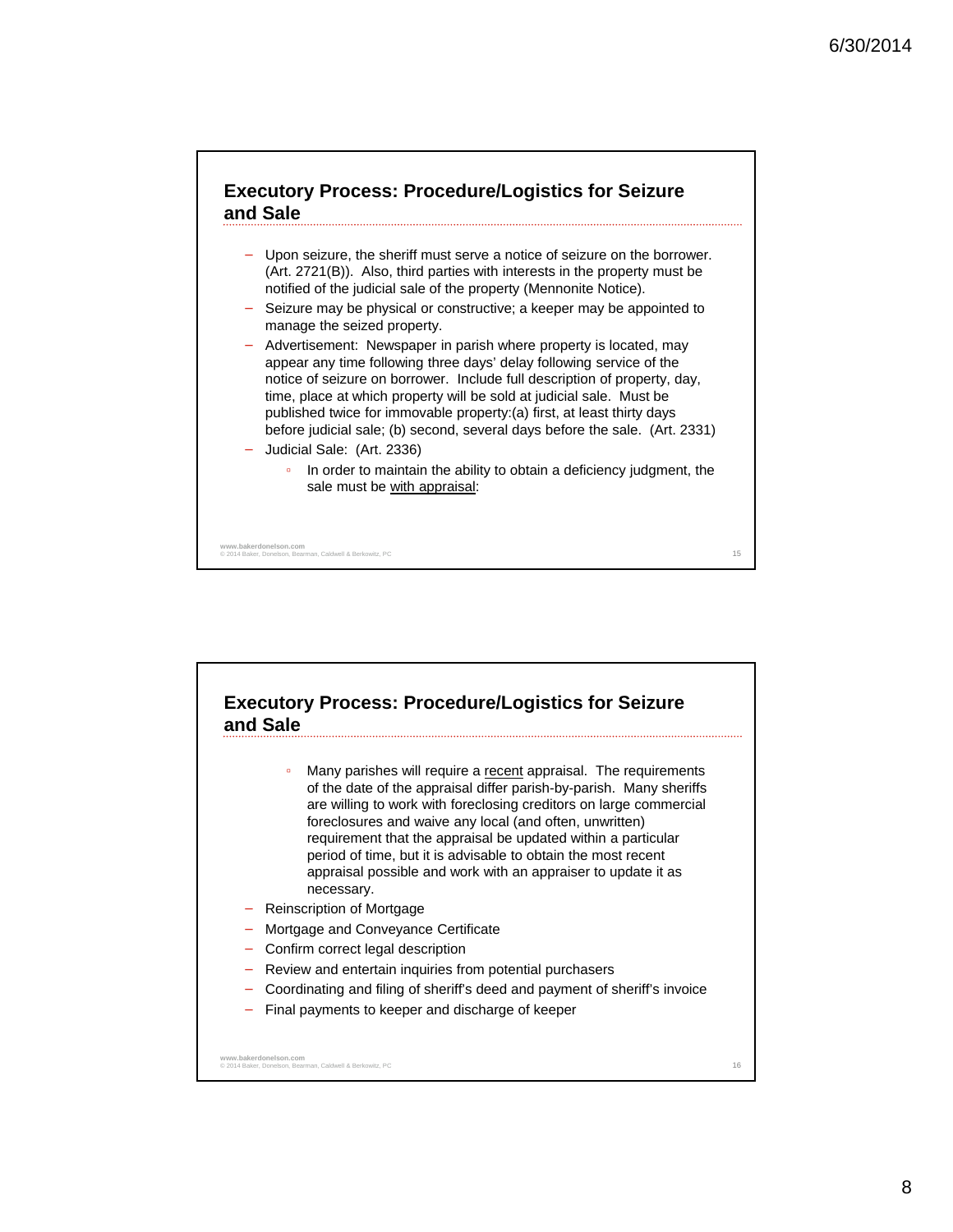

- Upon seizure, the sheriff must serve a notice of seizure on the borrower. (Art. 2721(B)). Also, third parties with interests in the property must be notified of the judicial sale of the property (Mennonite Notice).
- Seizure may be physical or constructive; a keeper may be appointed to manage the seized property.
- − Advertisement: Newspaper in parish where property is located, may appear any time following three days' delay following service of the notice of seizure on borrower. Include full description of property, day, time, place at which property will be sold at judicial sale. Must be published twice for immovable property:(a) first, at least thirty days before judicial sale; (b) second, several days before the sale. (Art. 2331)
- − Judicial Sale: (Art. 2336)
	- In order to maintain the ability to obtain a deficiency judgment, the sale must be with appraisal:

<sup>15</sup> **www.bakerdonelson.com** © 2014 Baker, Donelson, Bearman, Caldwell & Berkowitz, PC

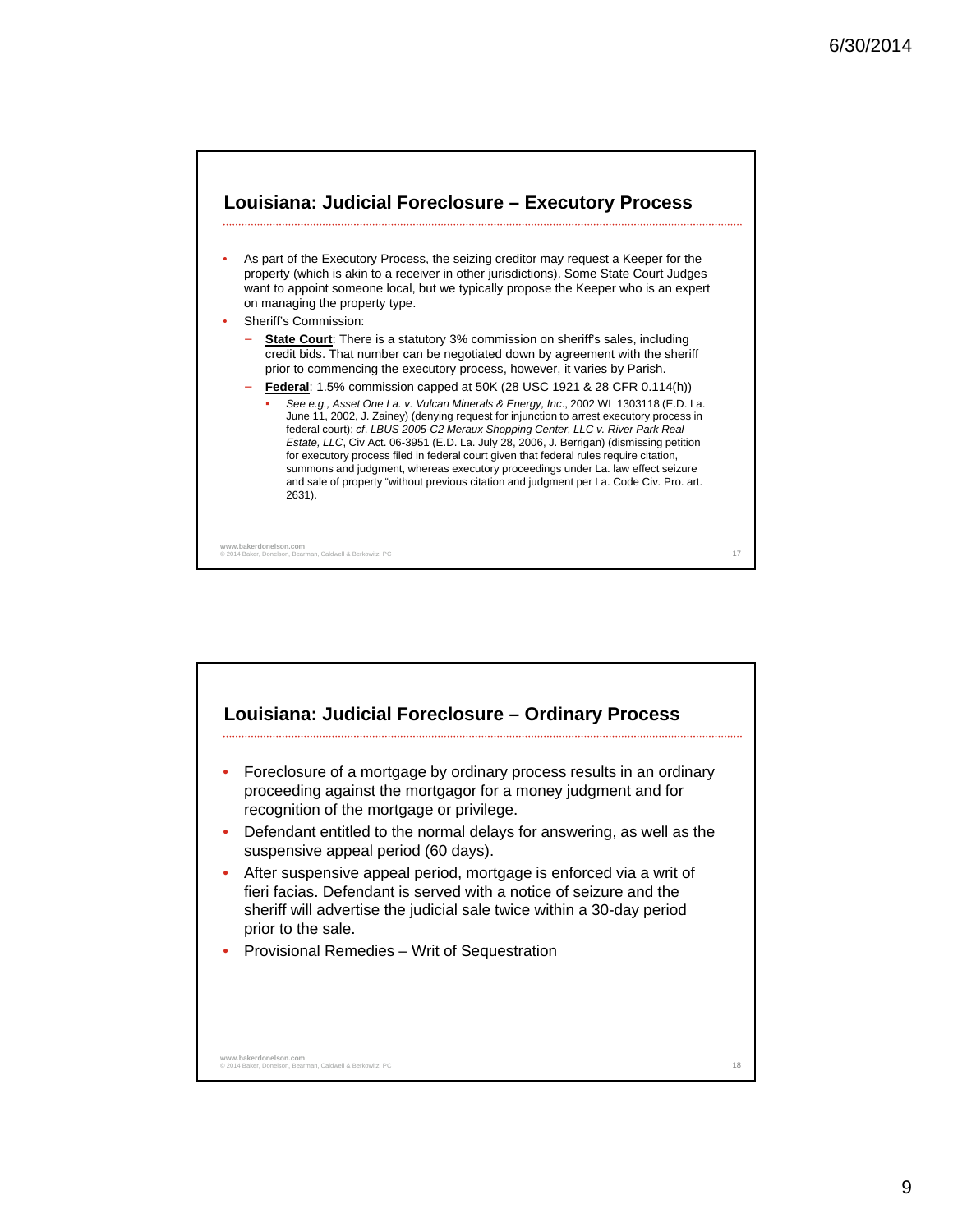

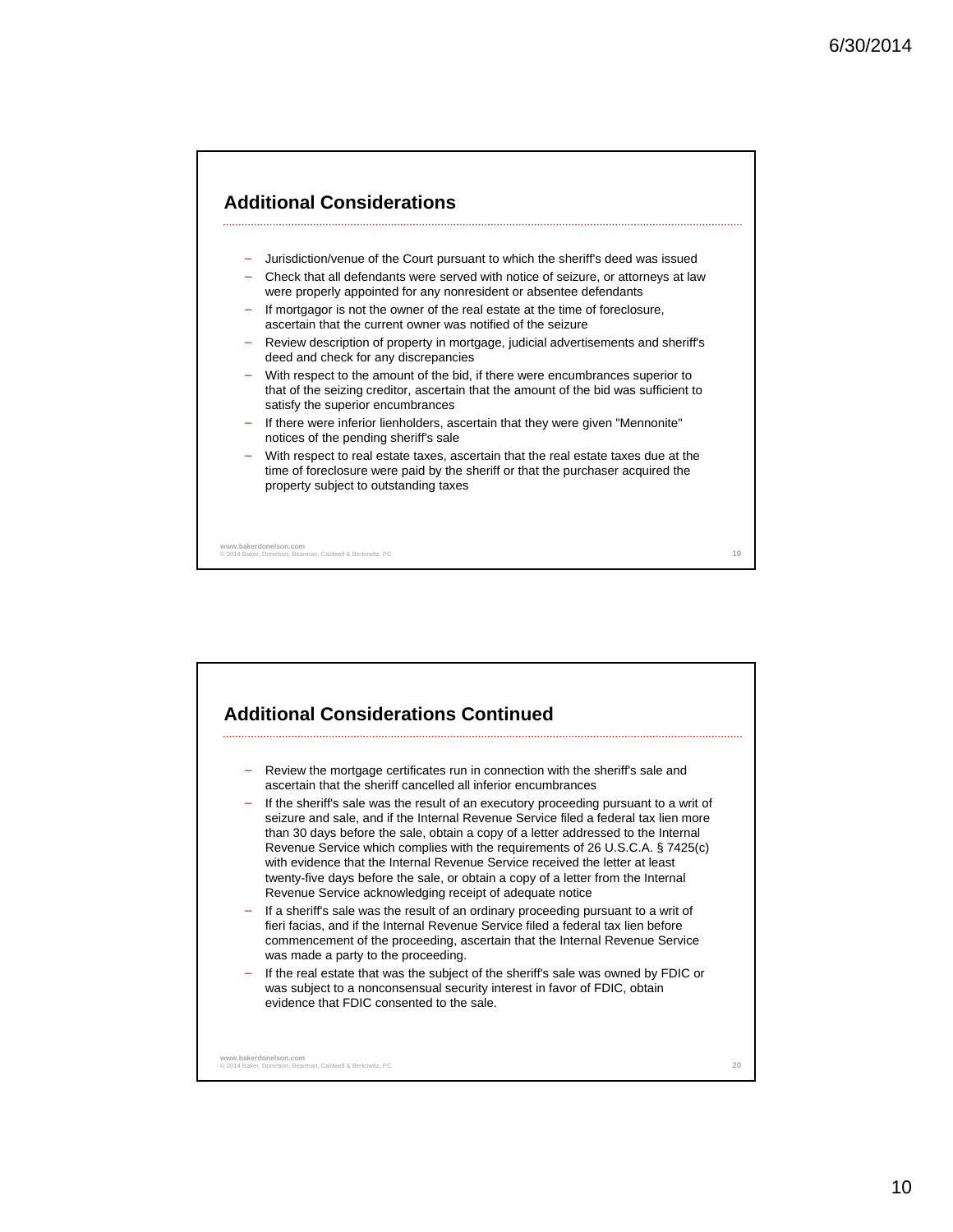

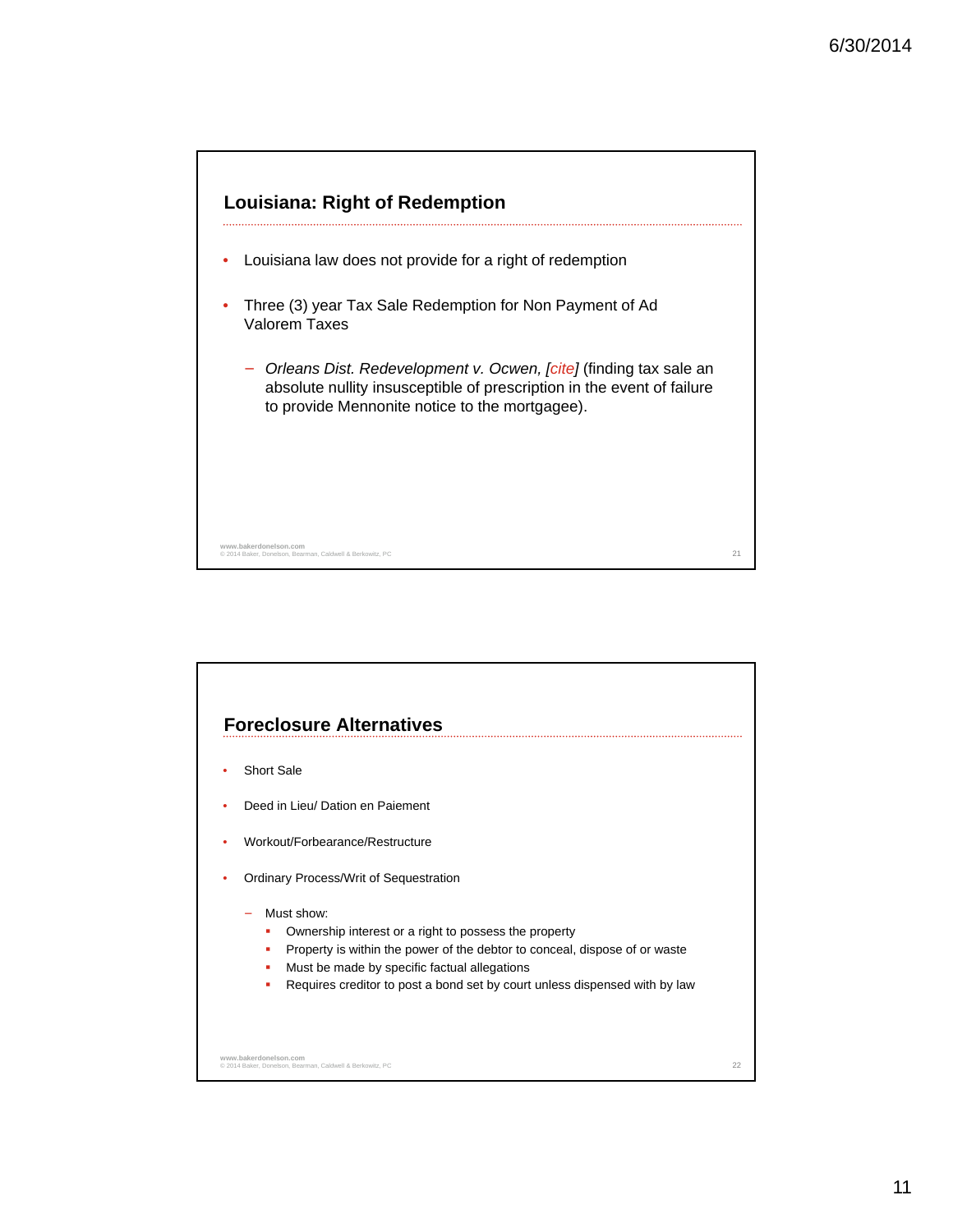

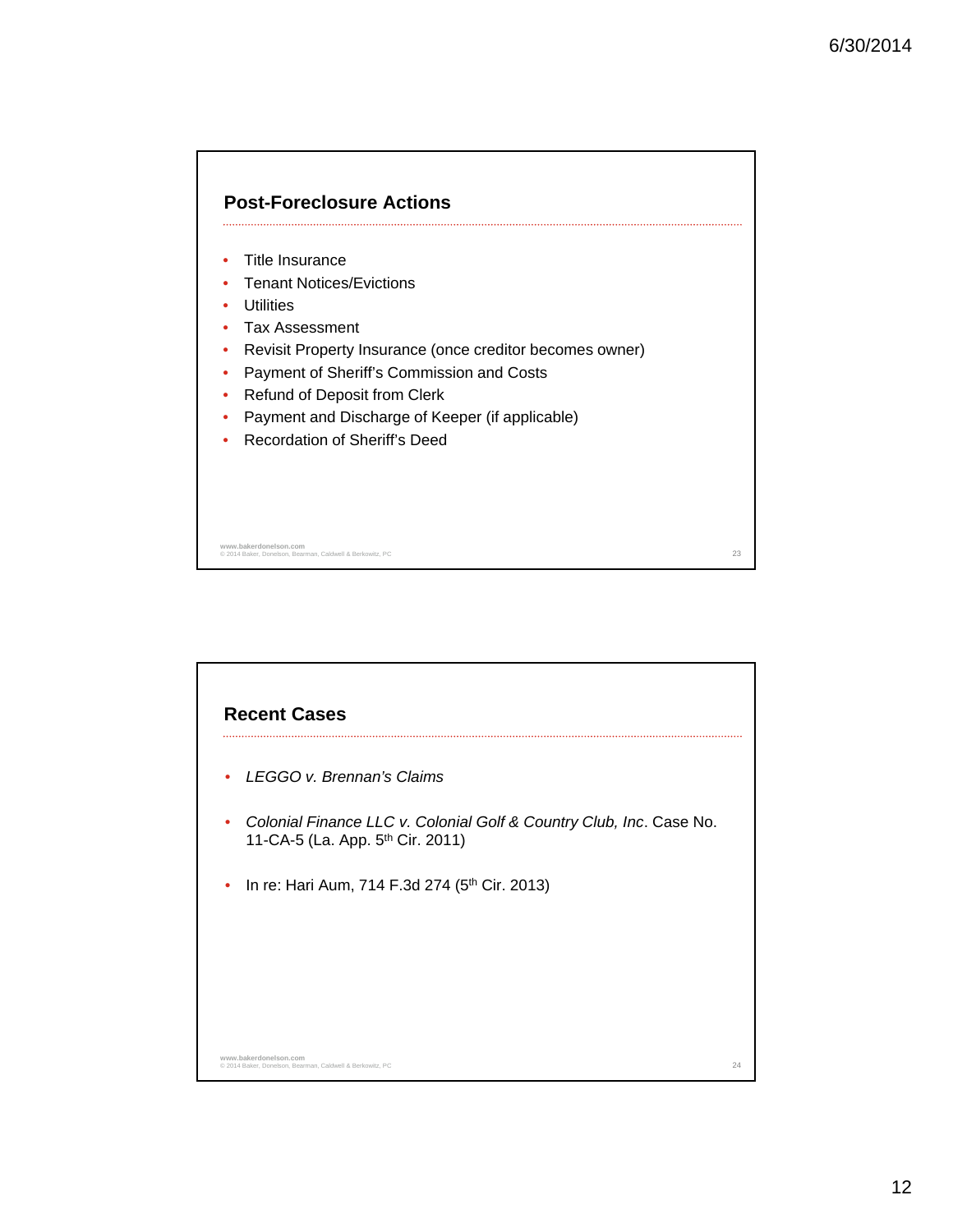

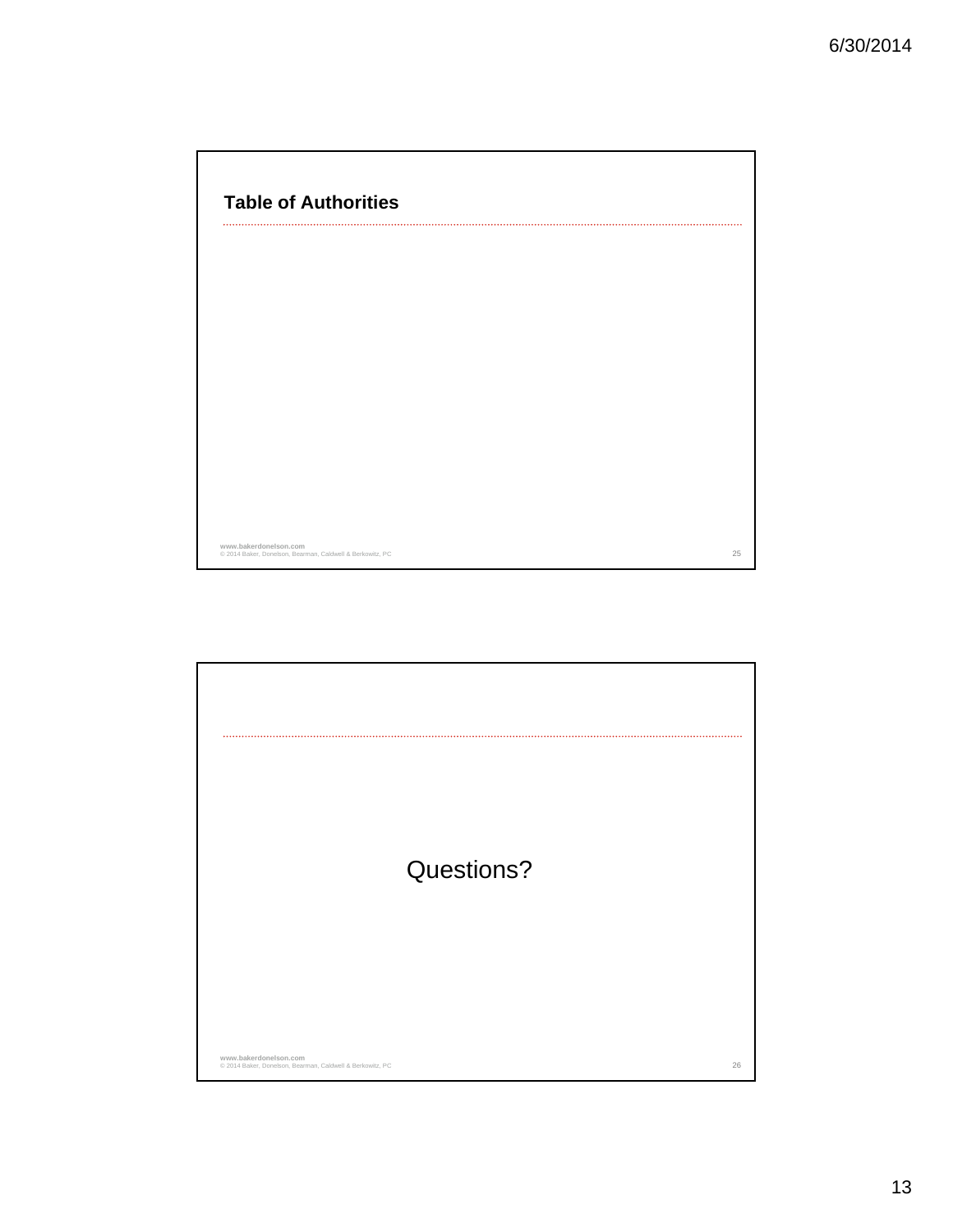| <b>Table of Authorities</b> |  |
|-----------------------------|--|
|                             |  |
|                             |  |
|                             |  |
|                             |  |
|                             |  |
|                             |  |
|                             |  |
|                             |  |
|                             |  |
| www.bakerdonelson.com       |  |

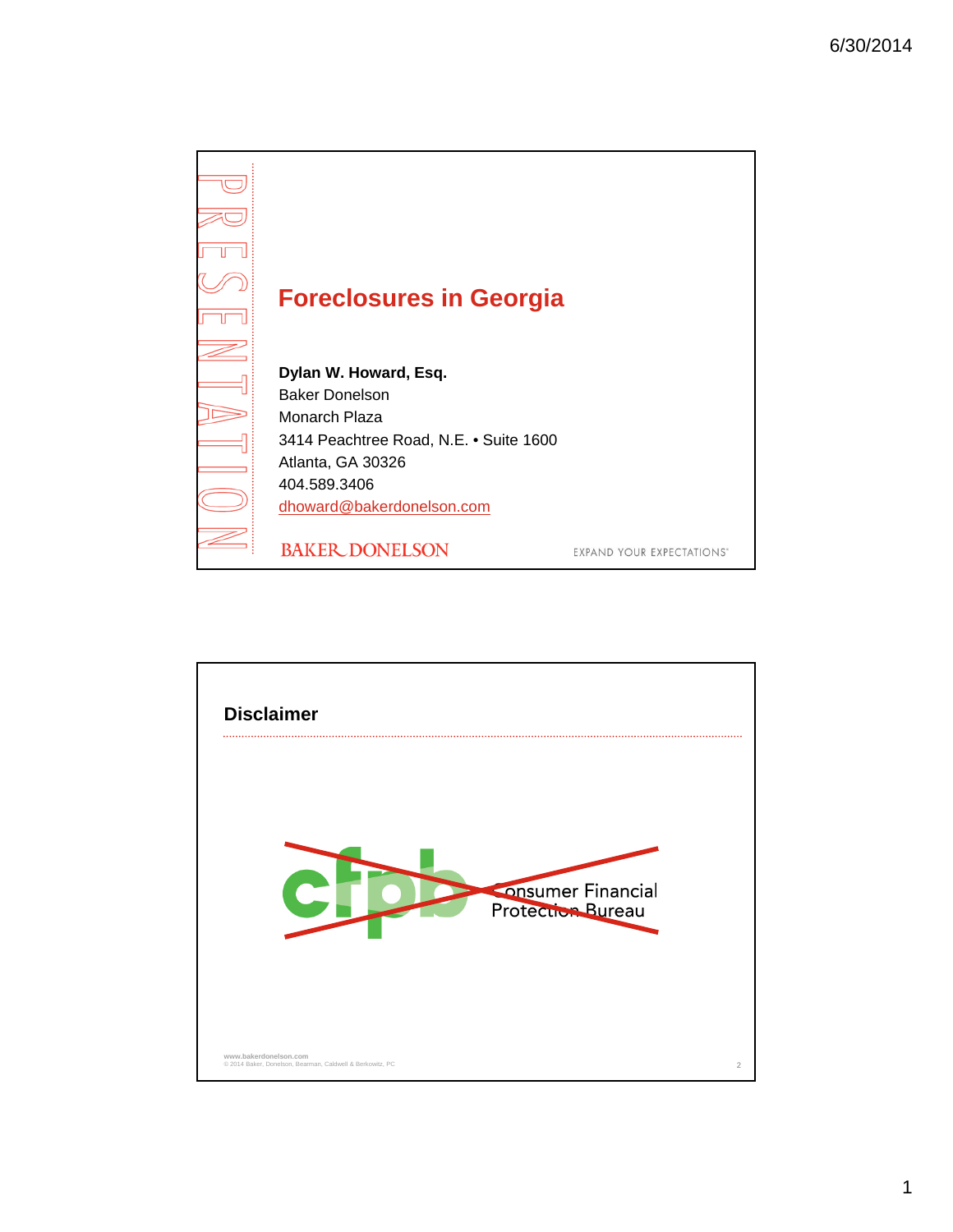

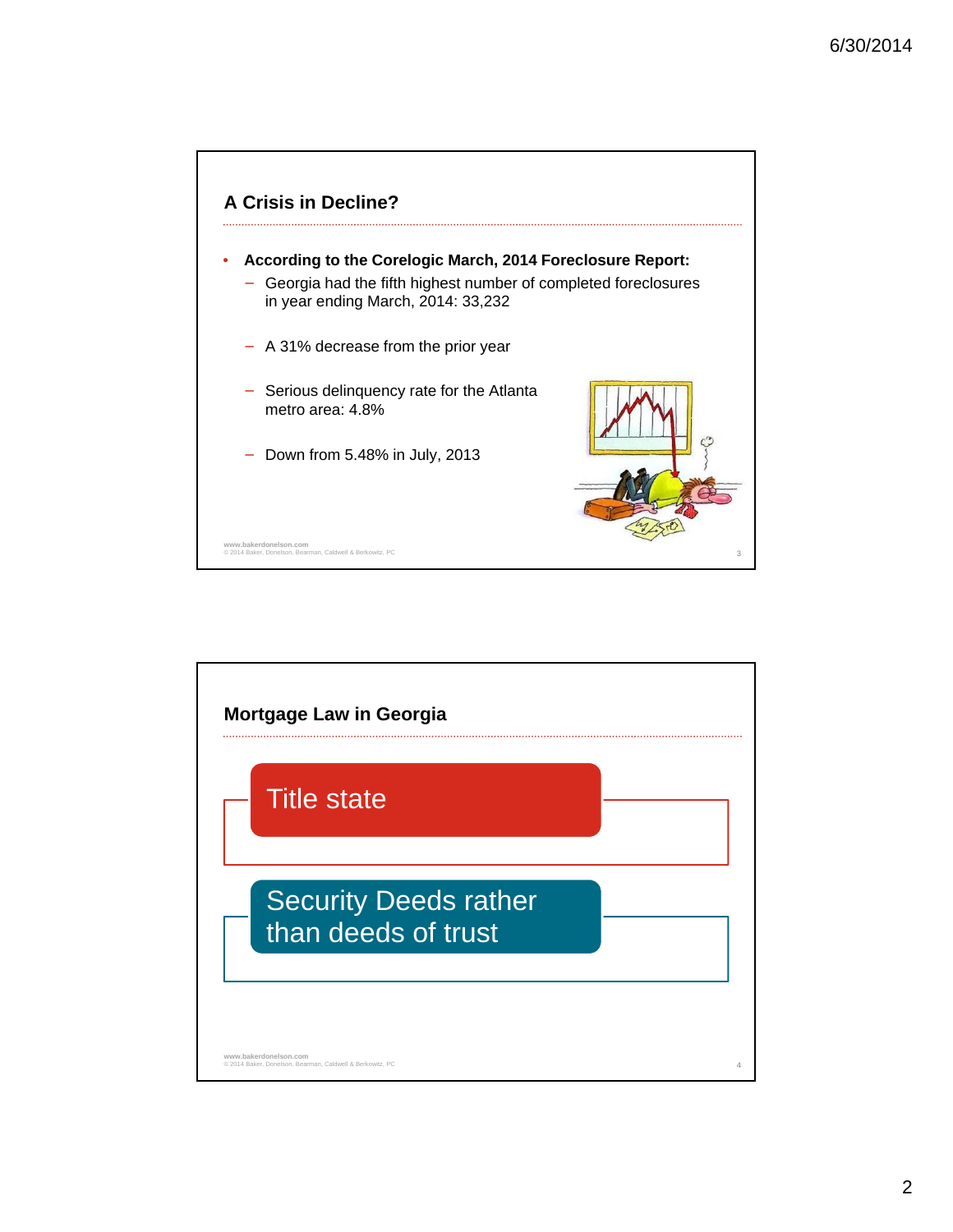

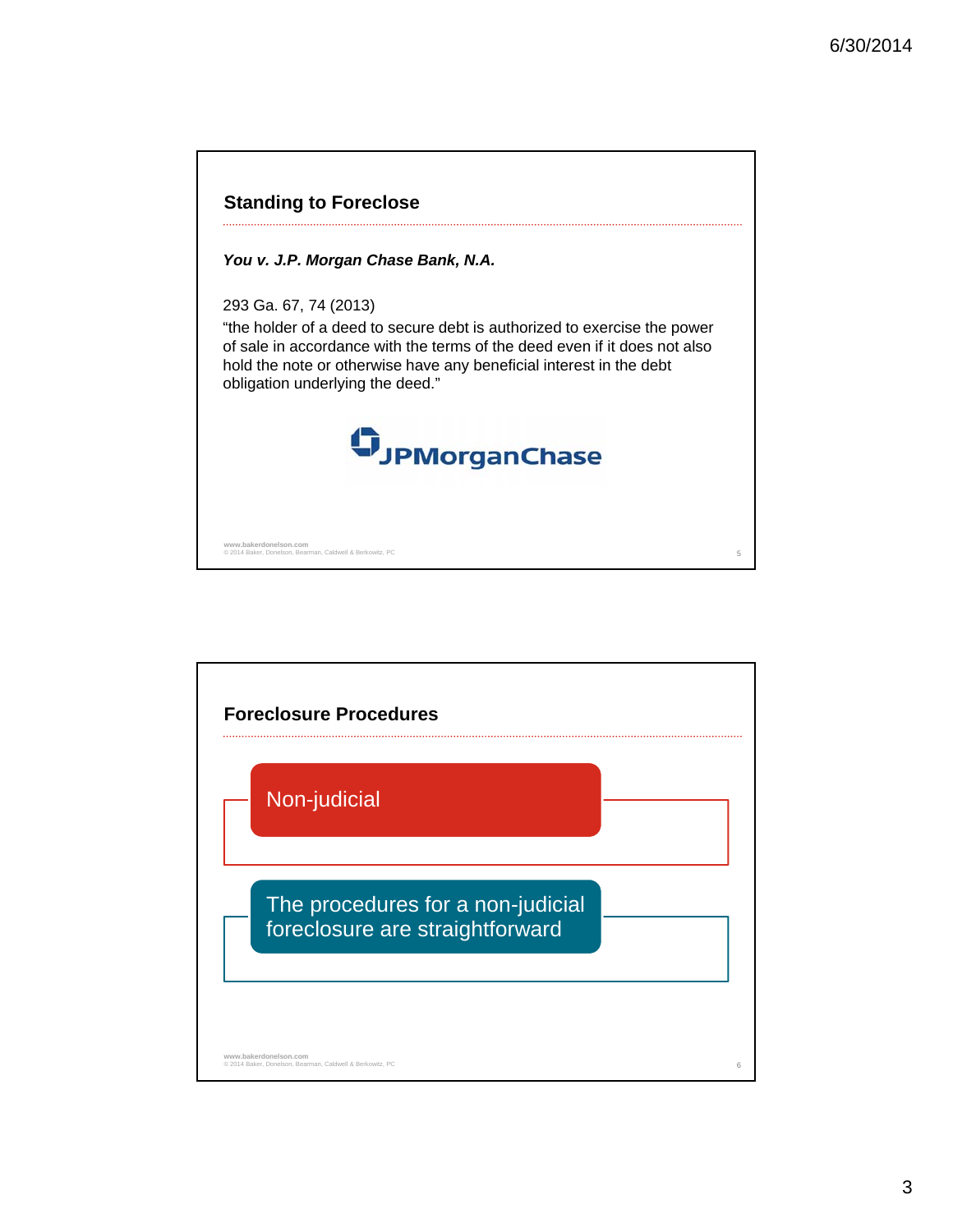

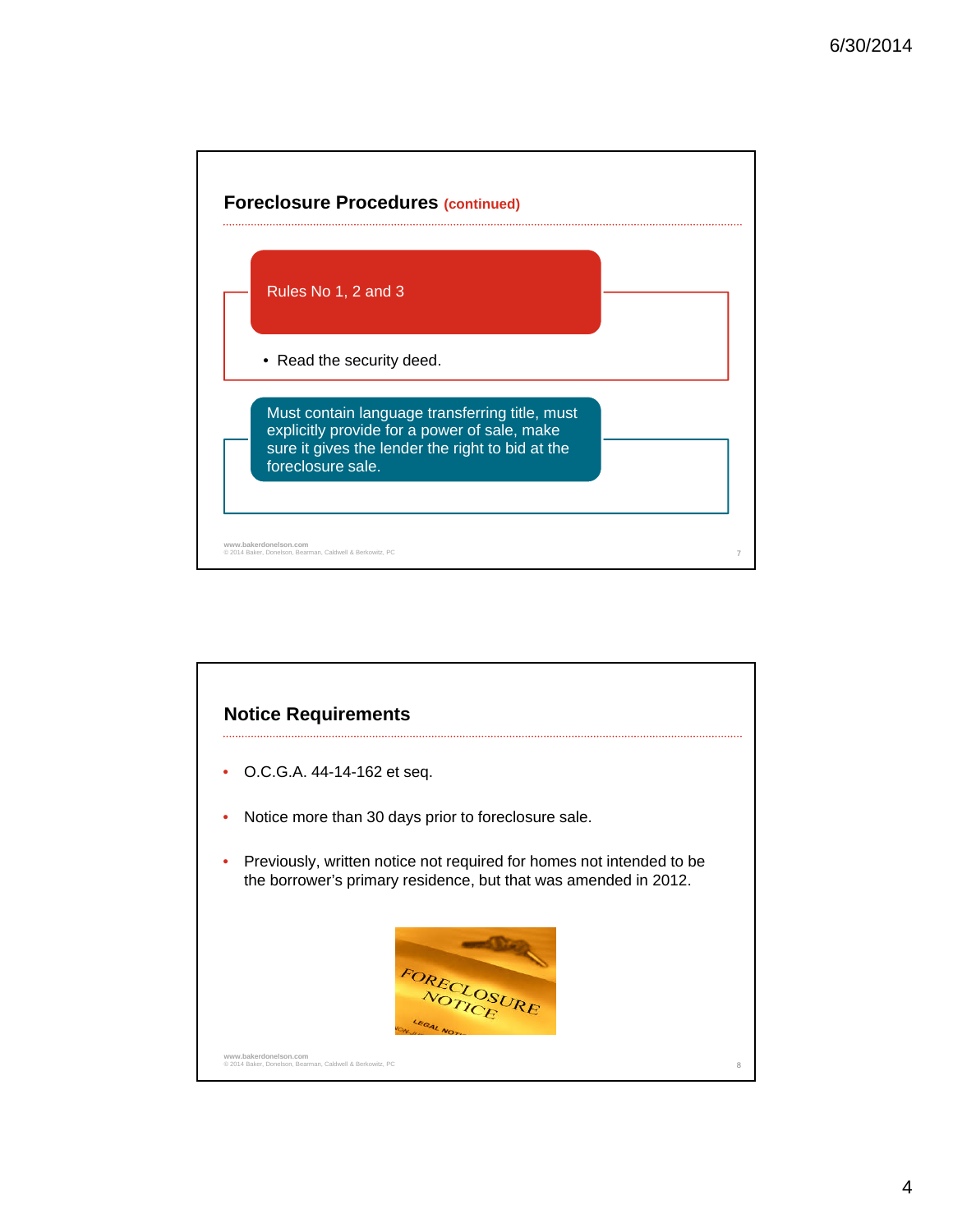

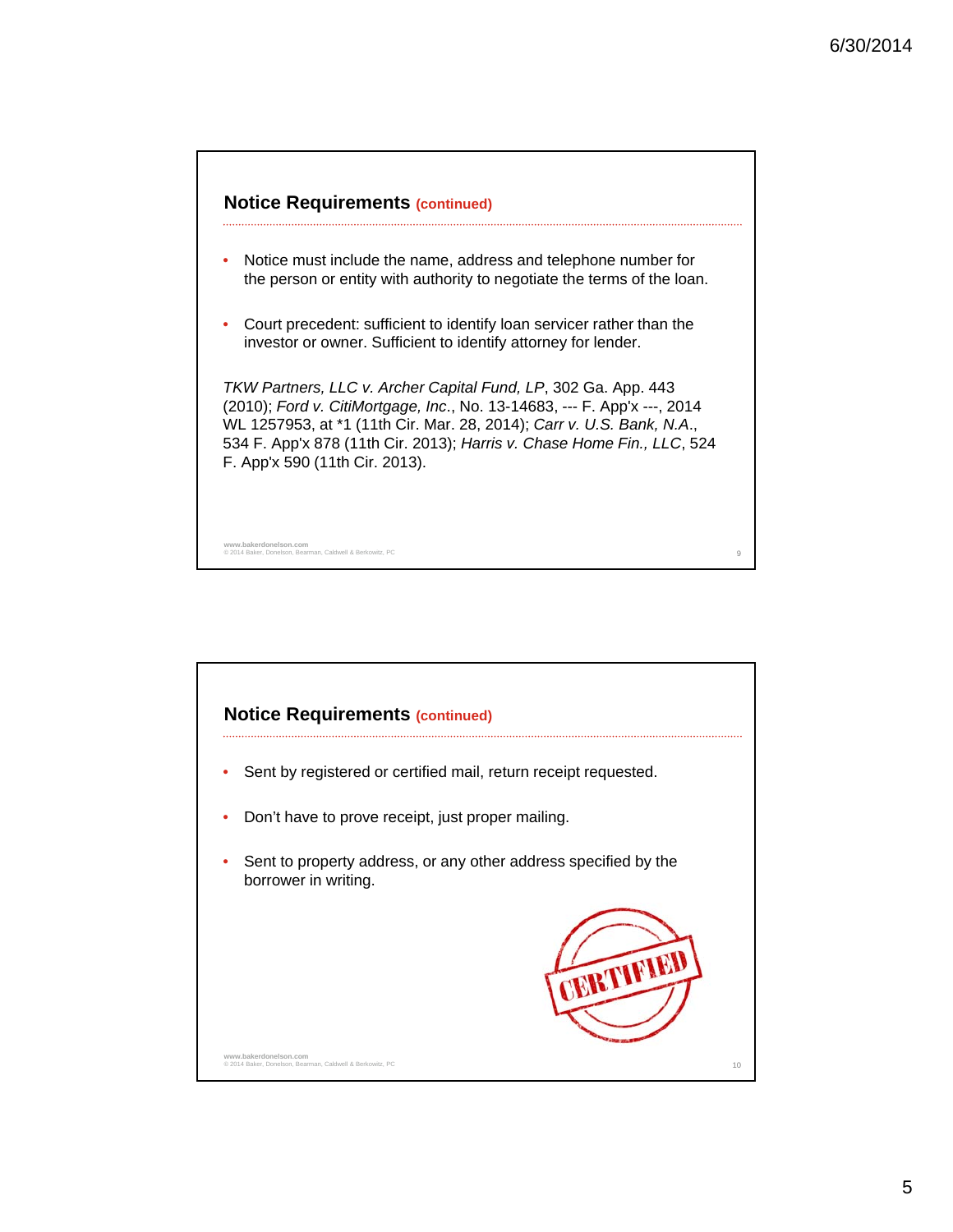

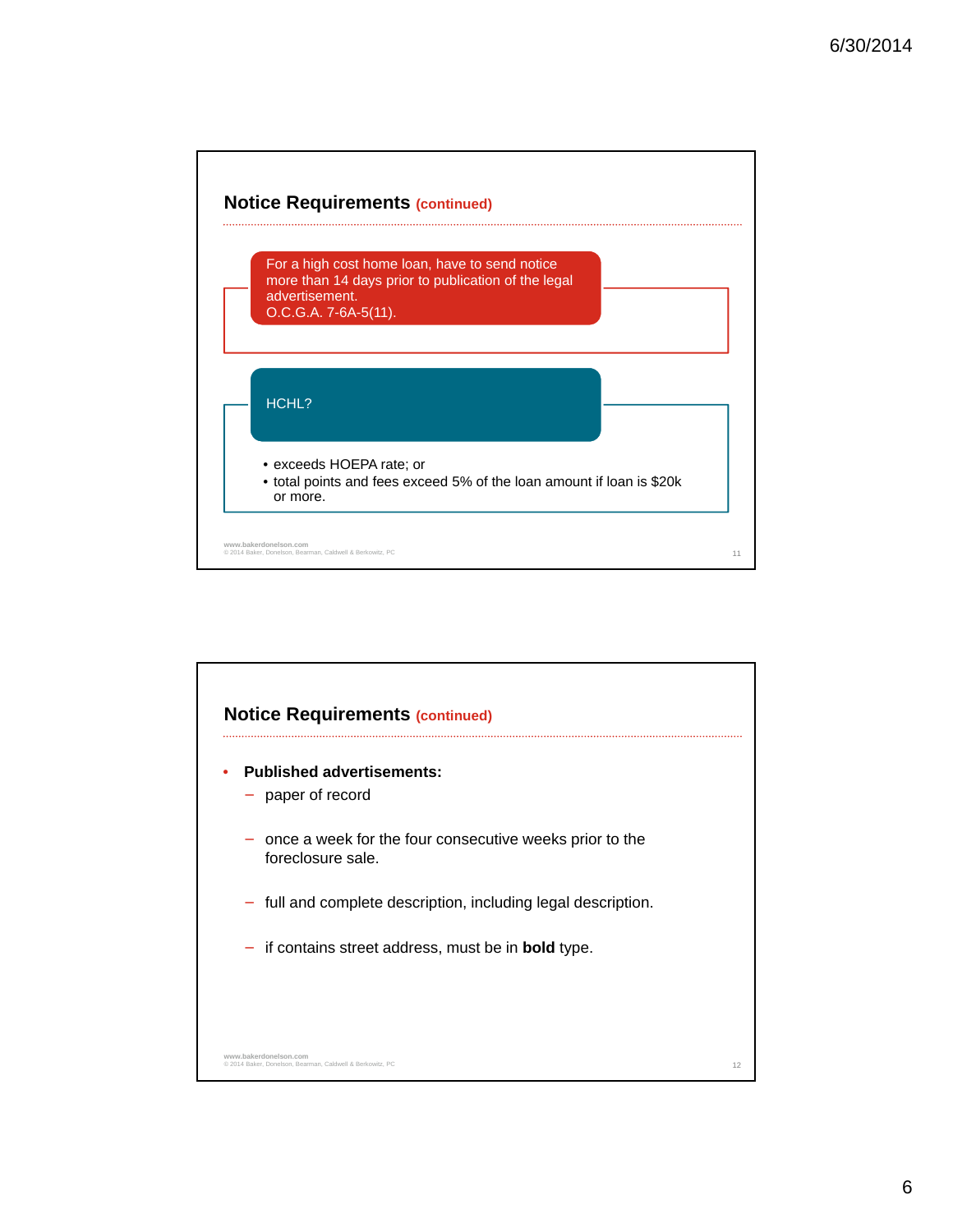



6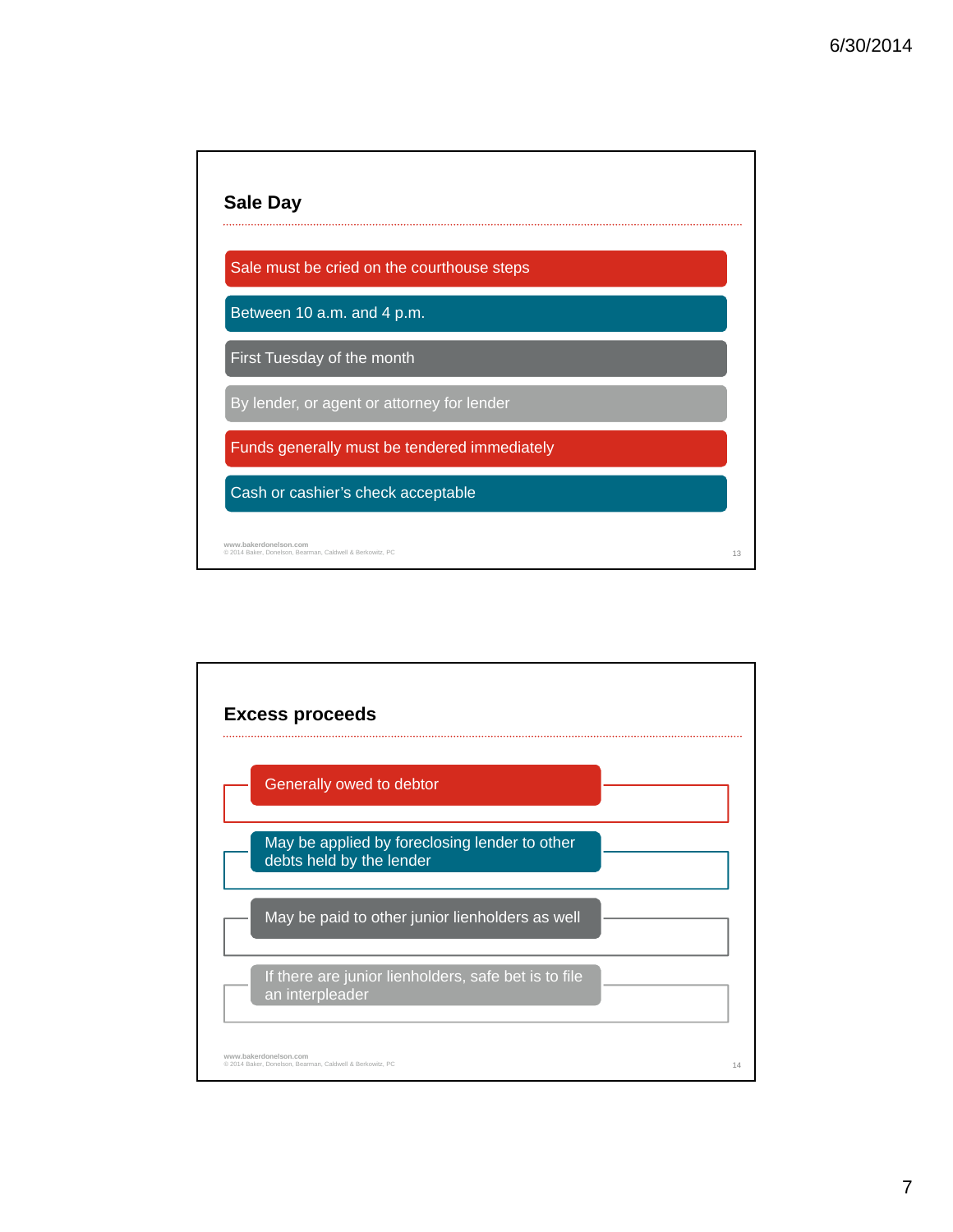

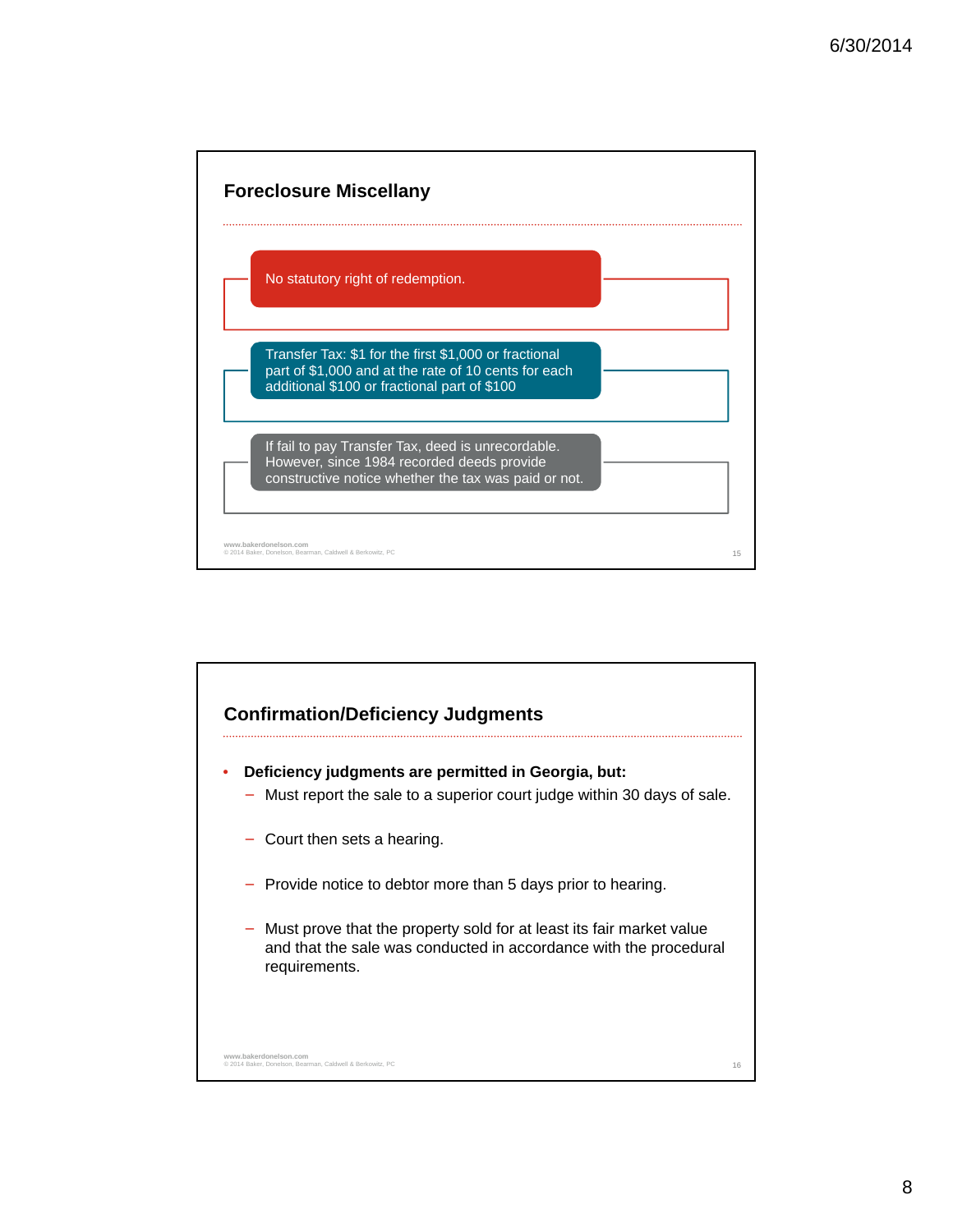

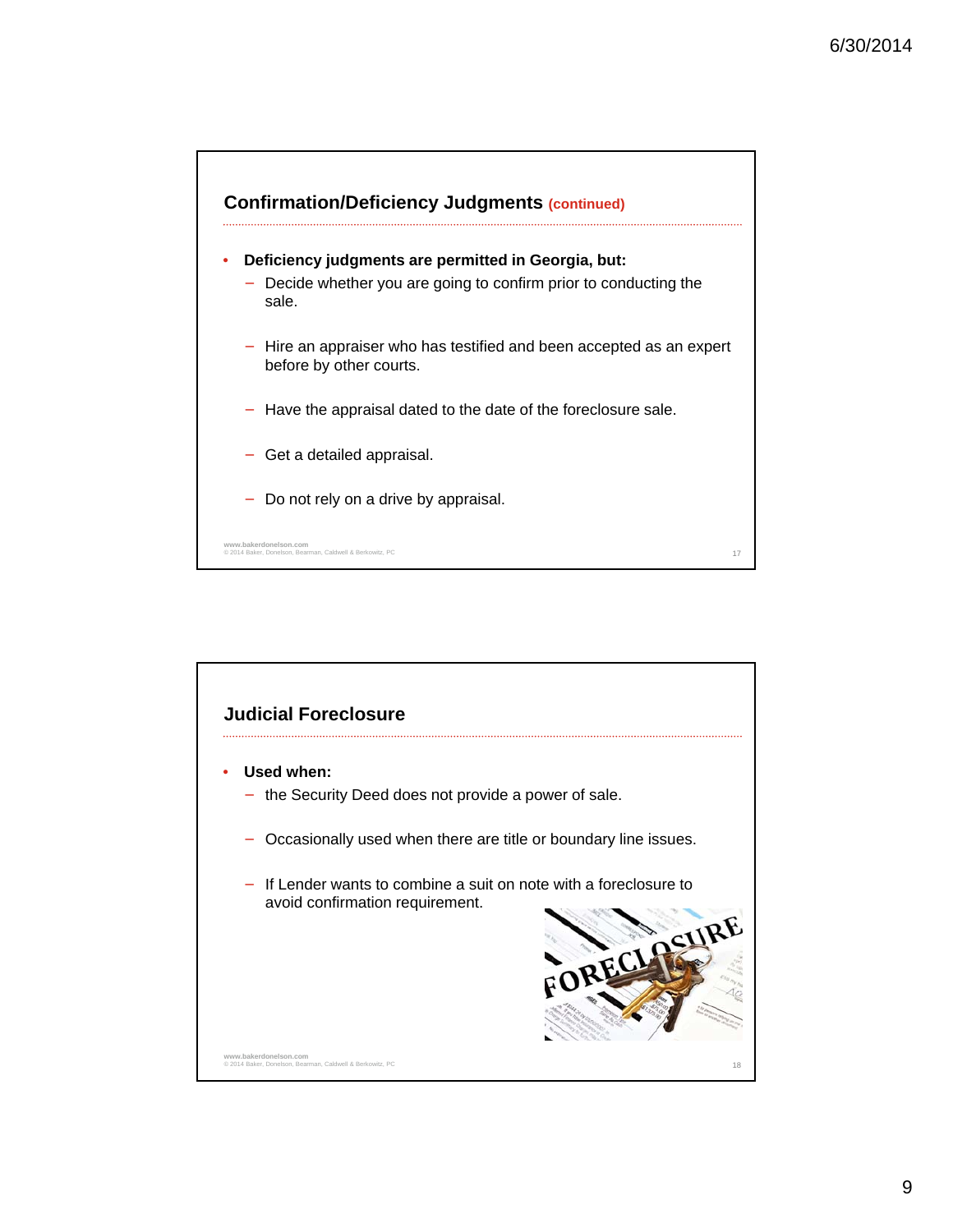

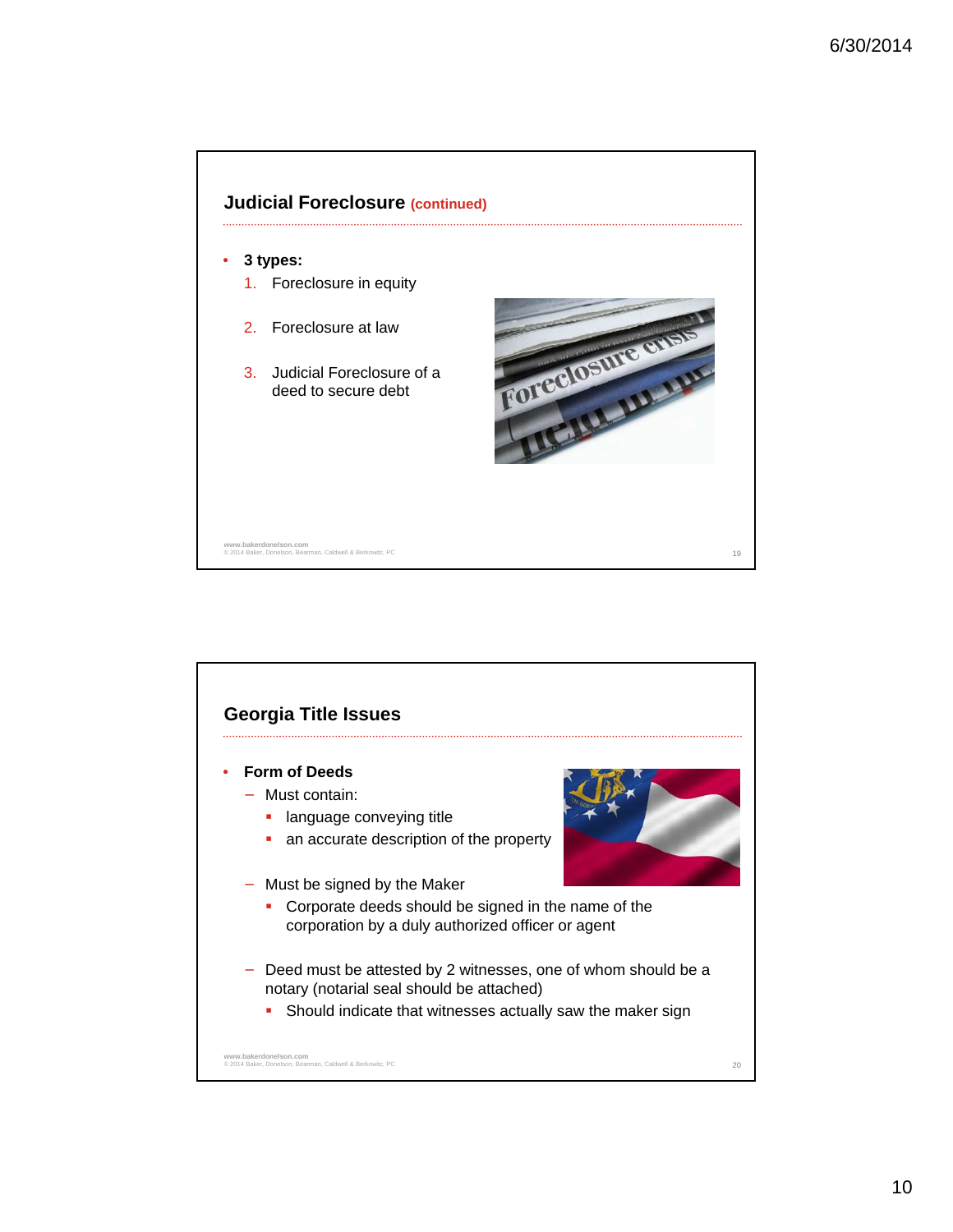

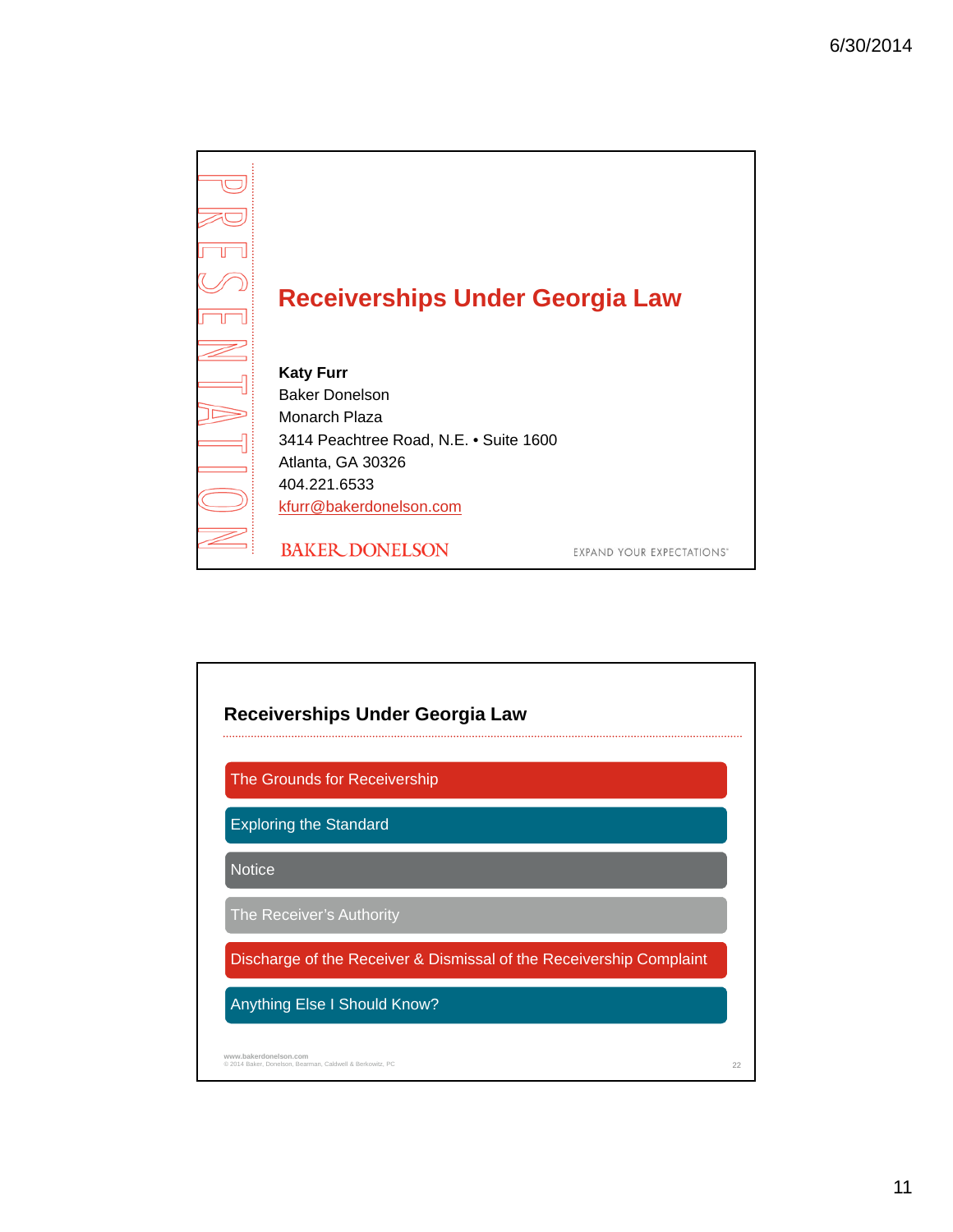

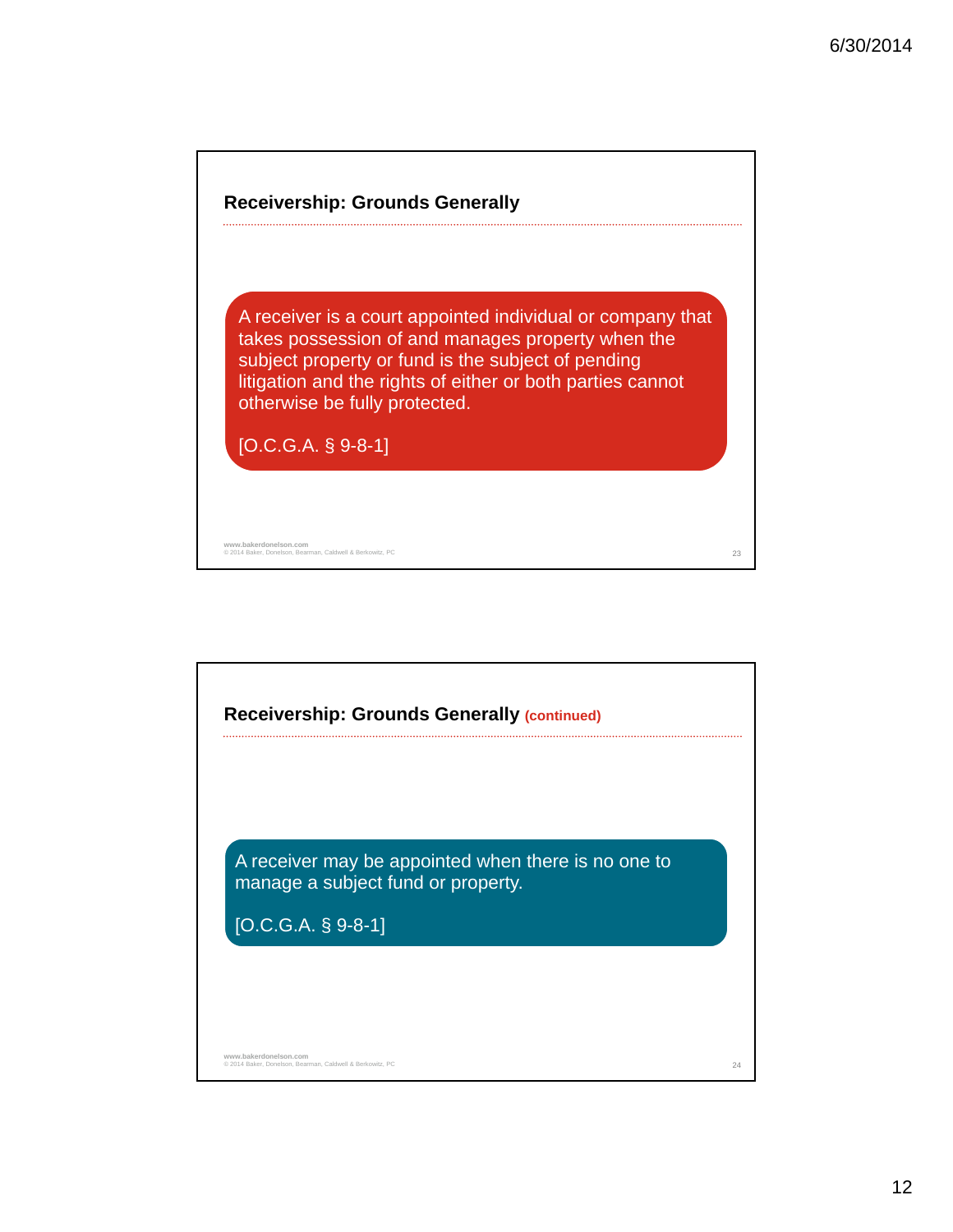

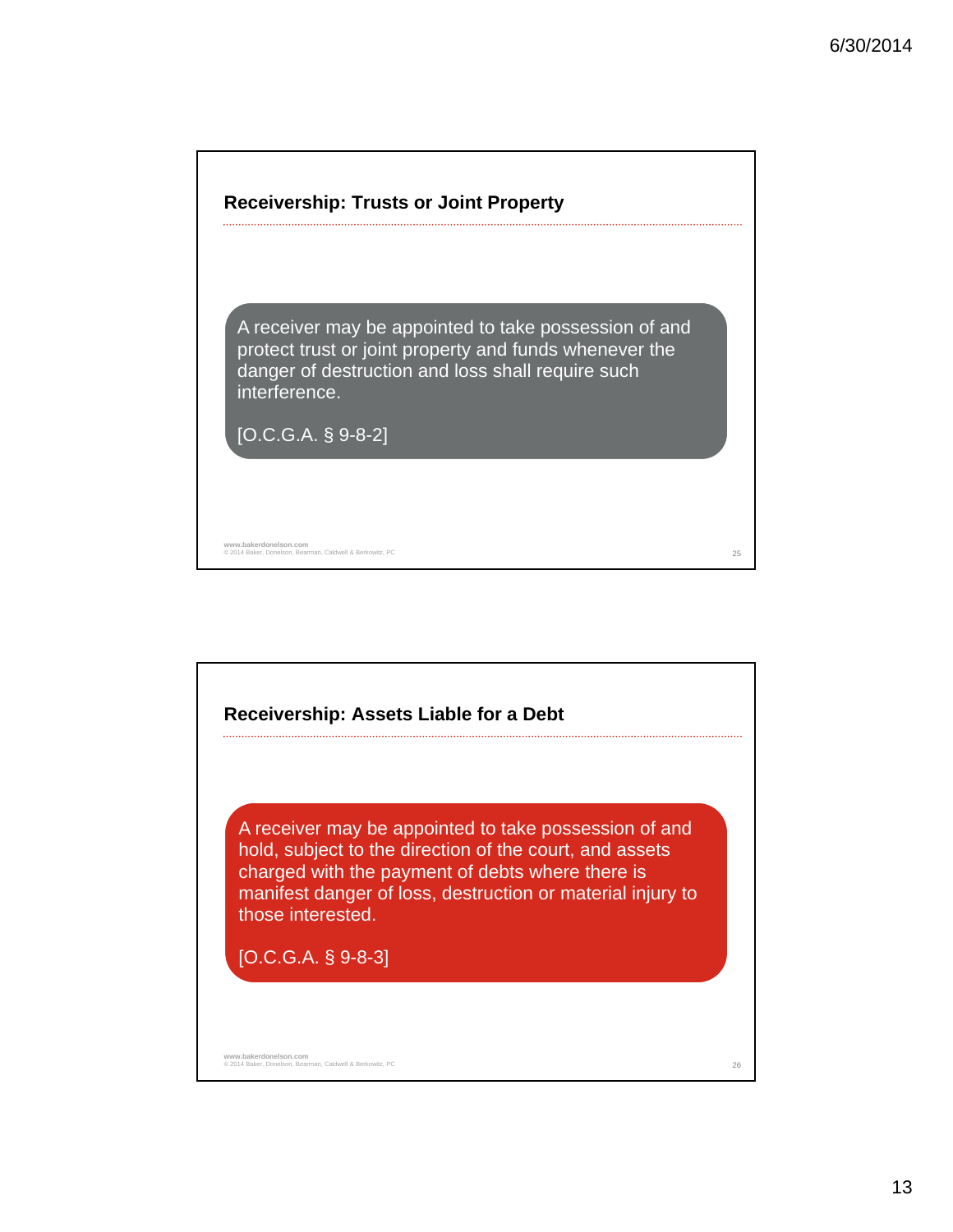

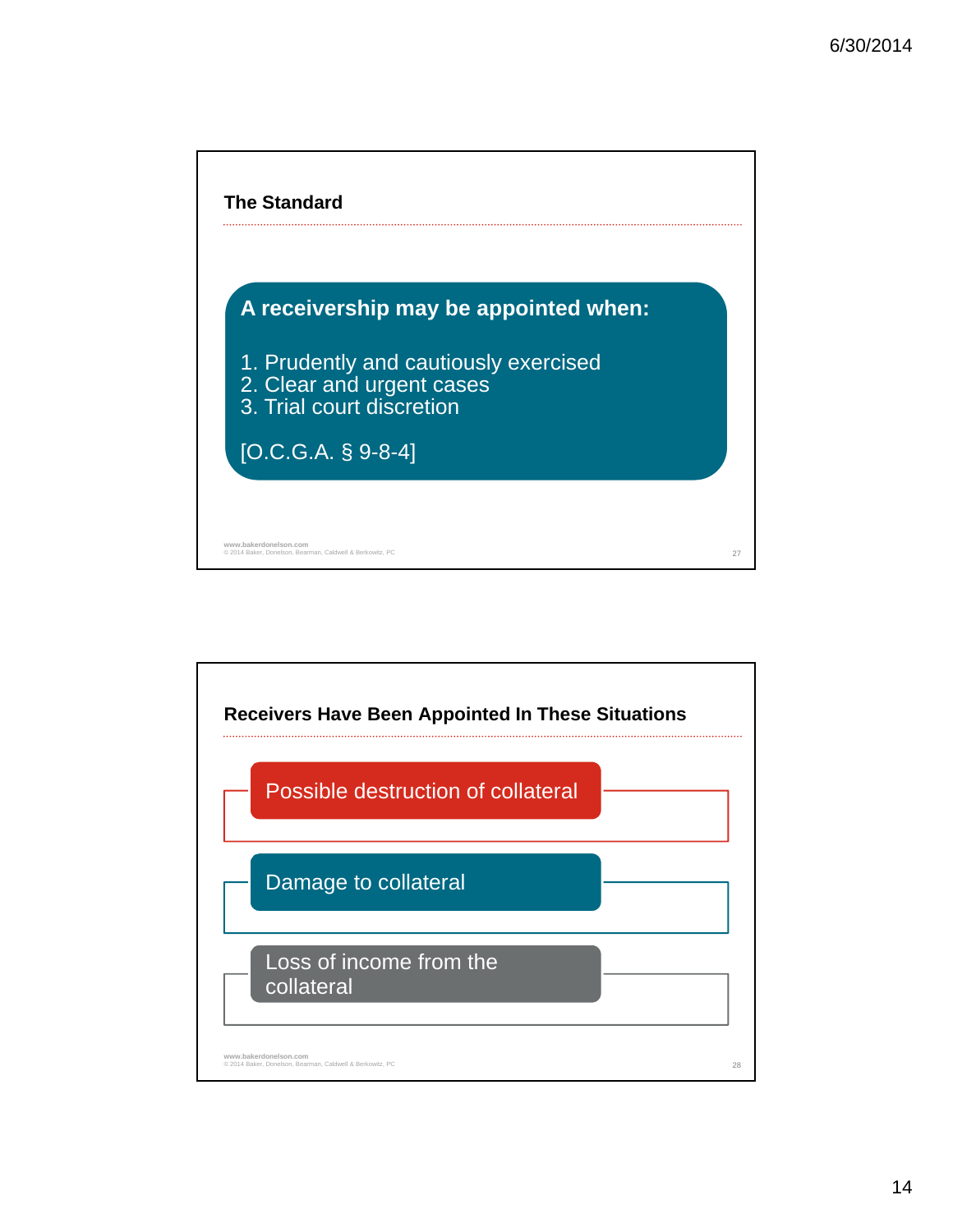

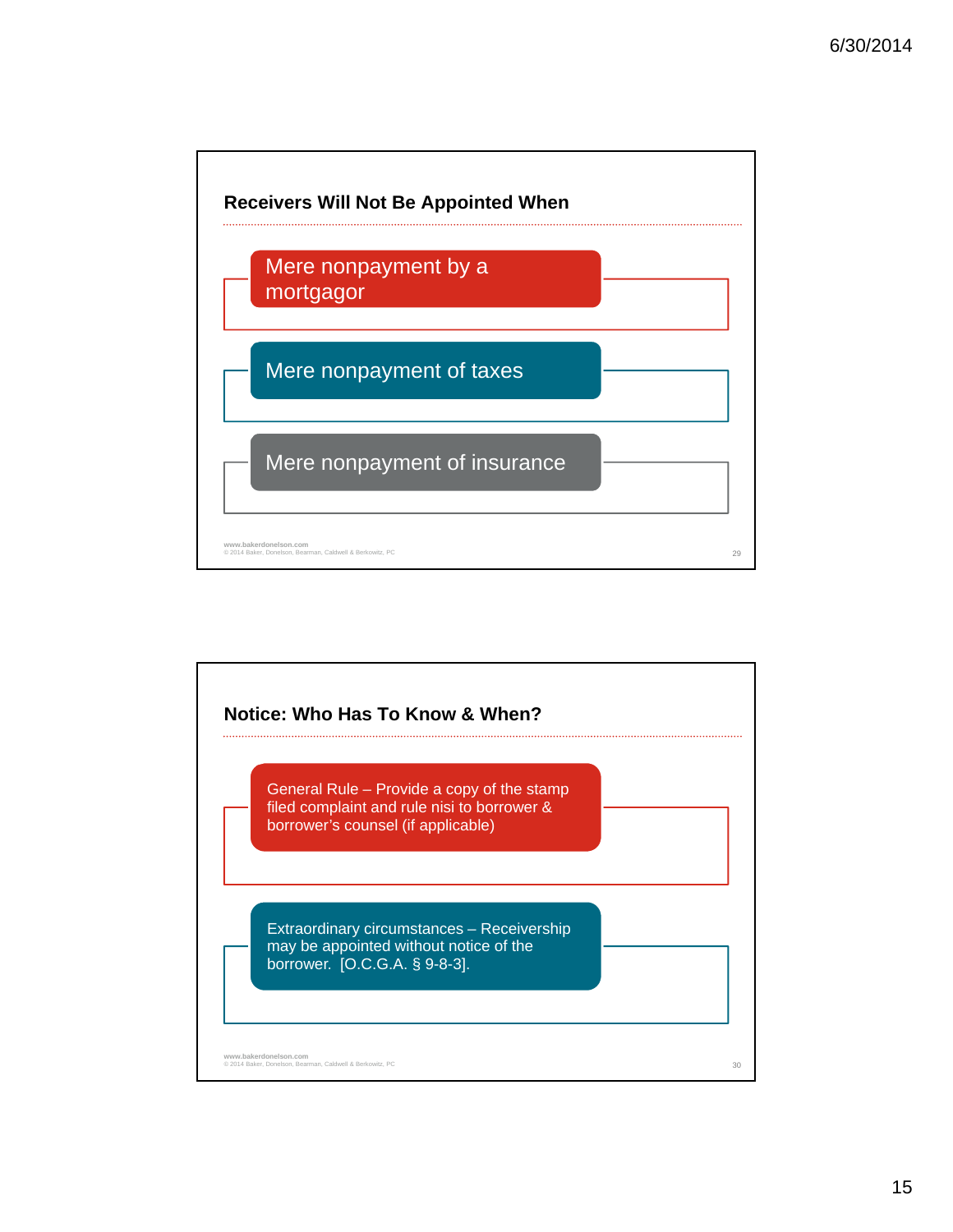

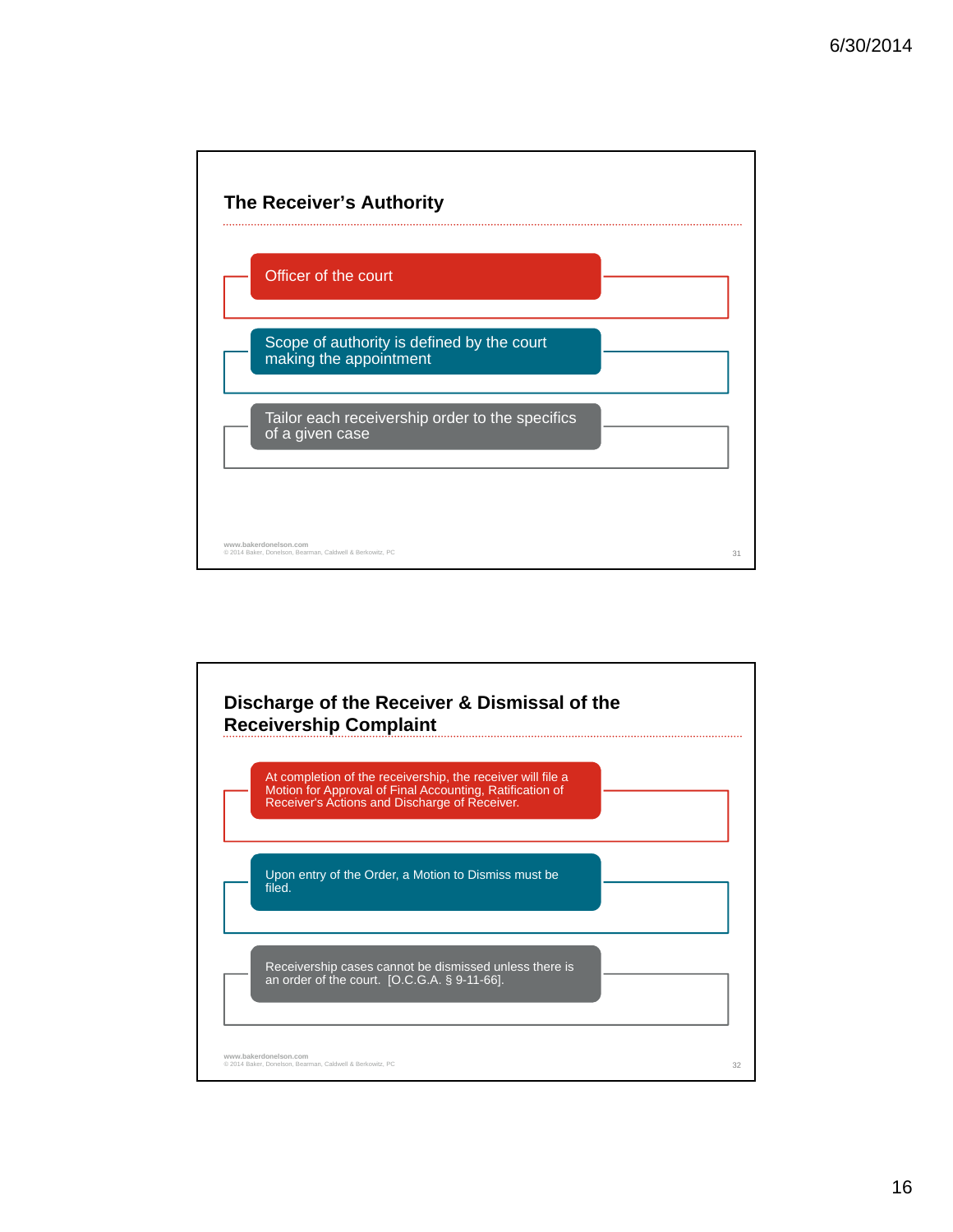

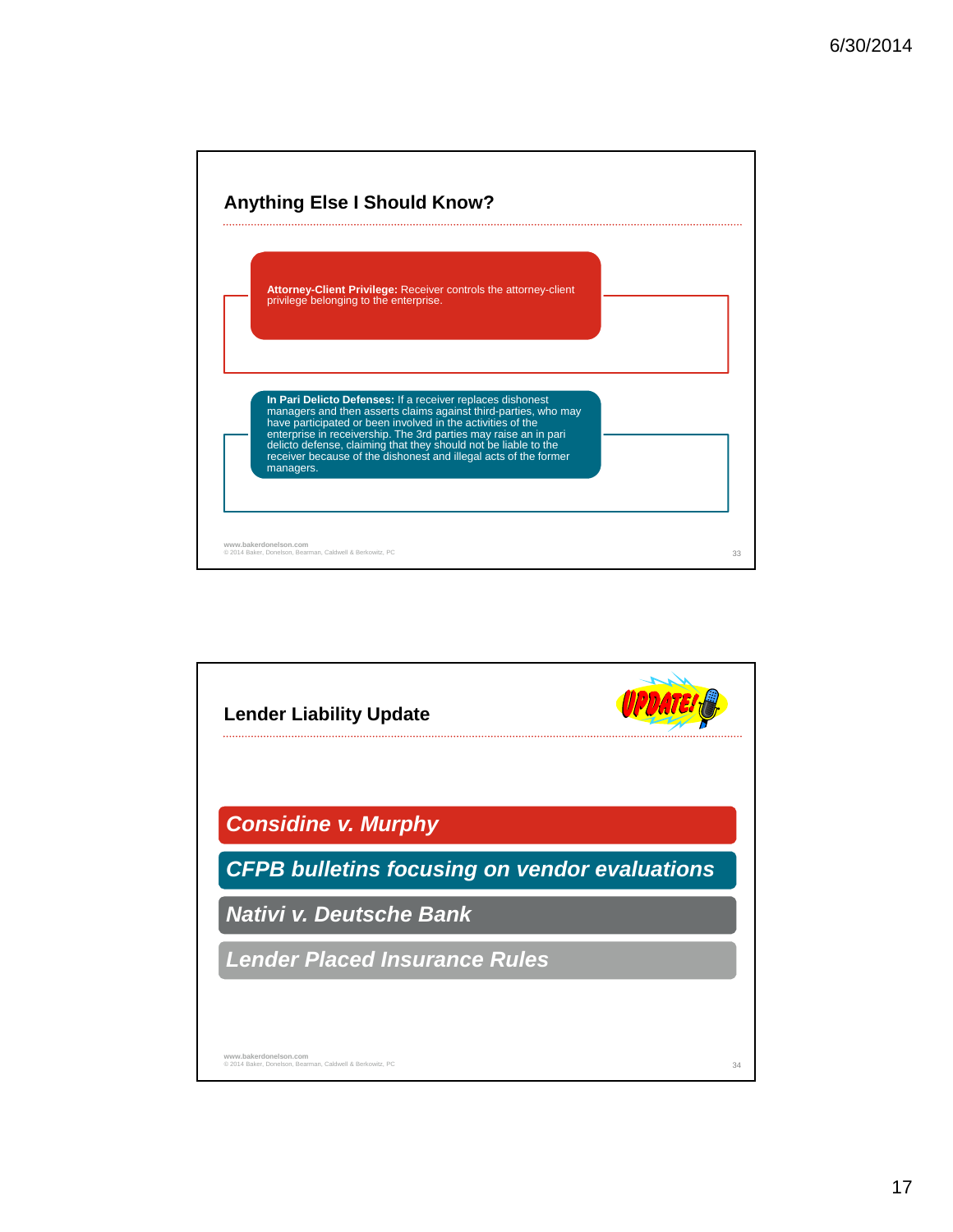

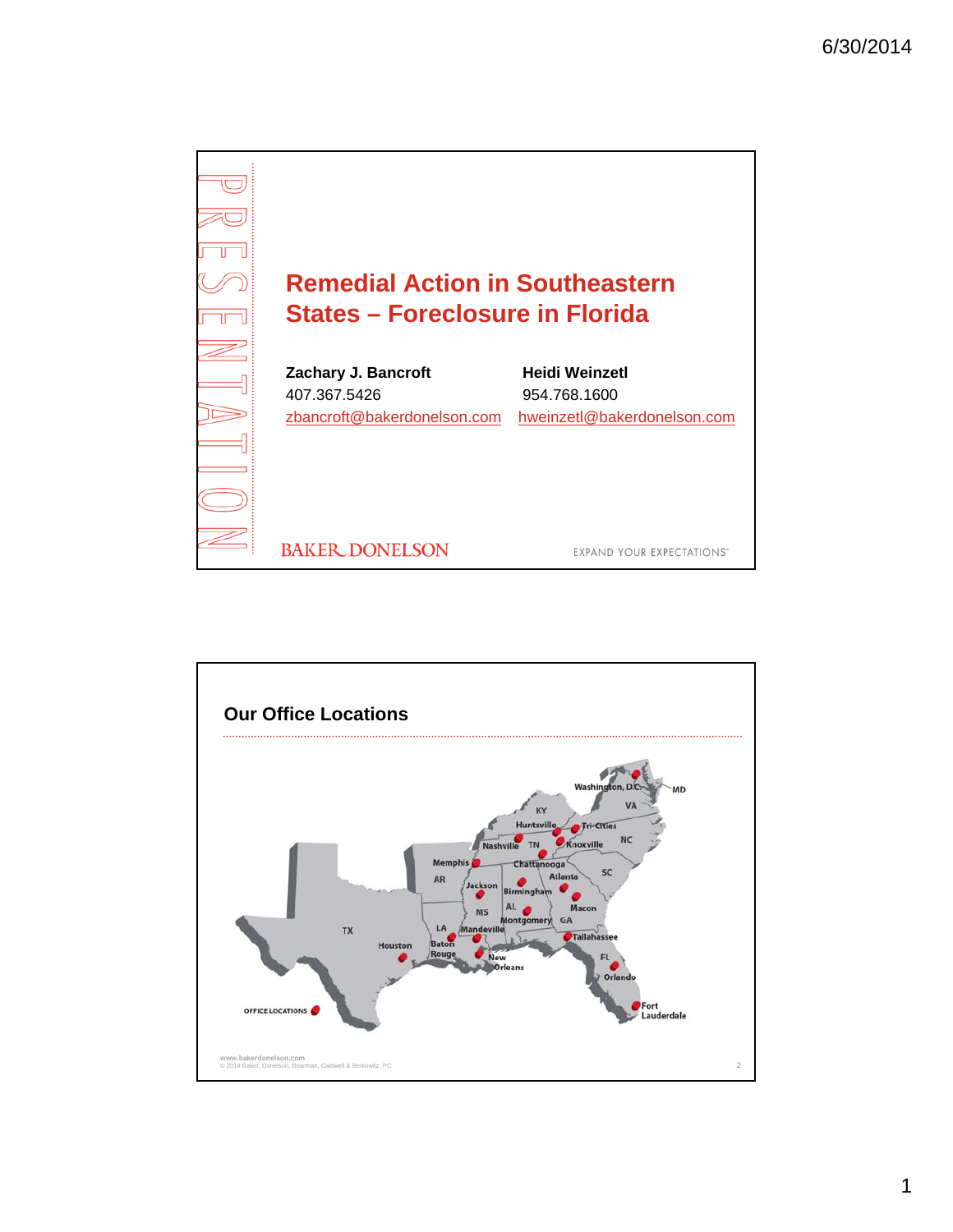

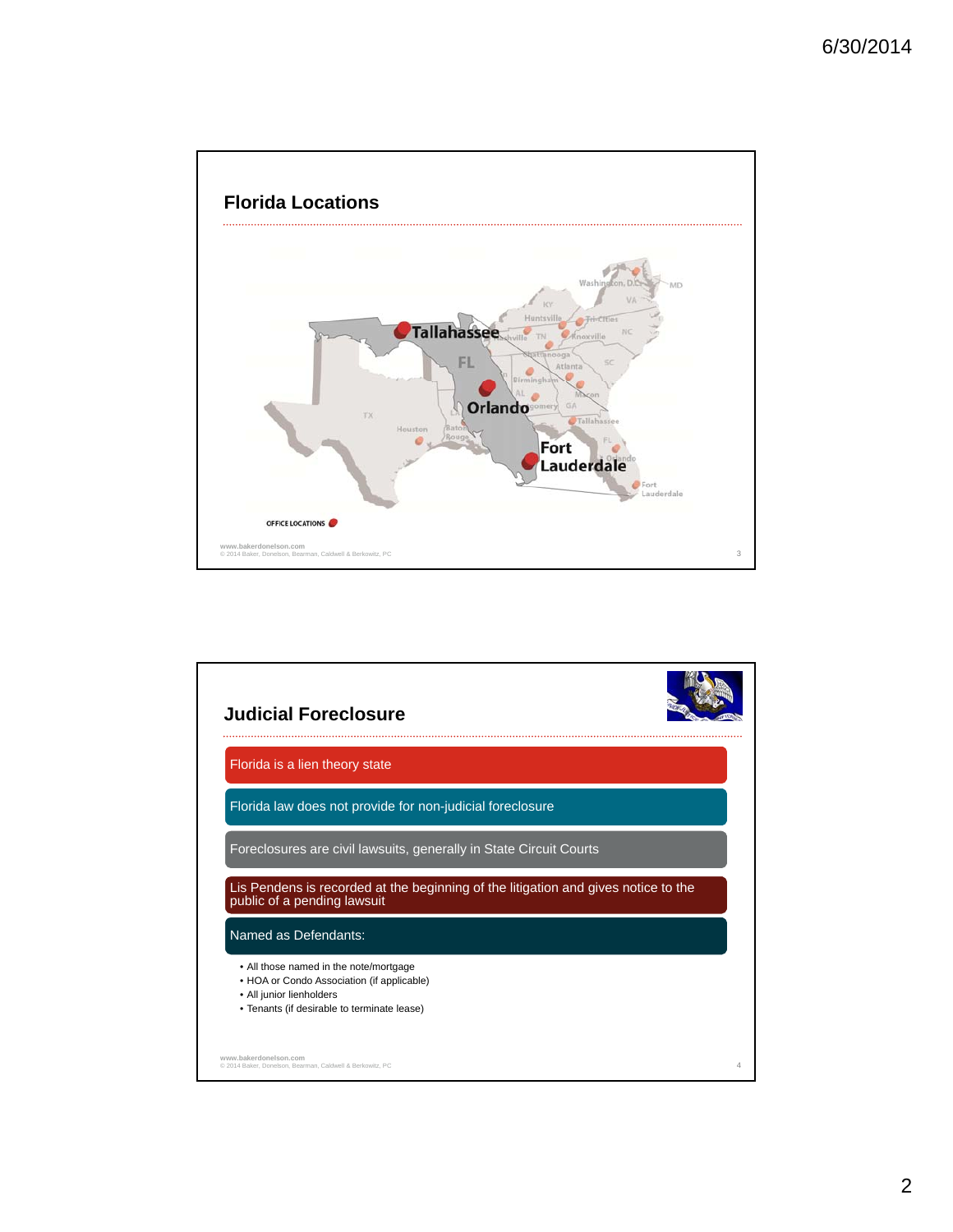

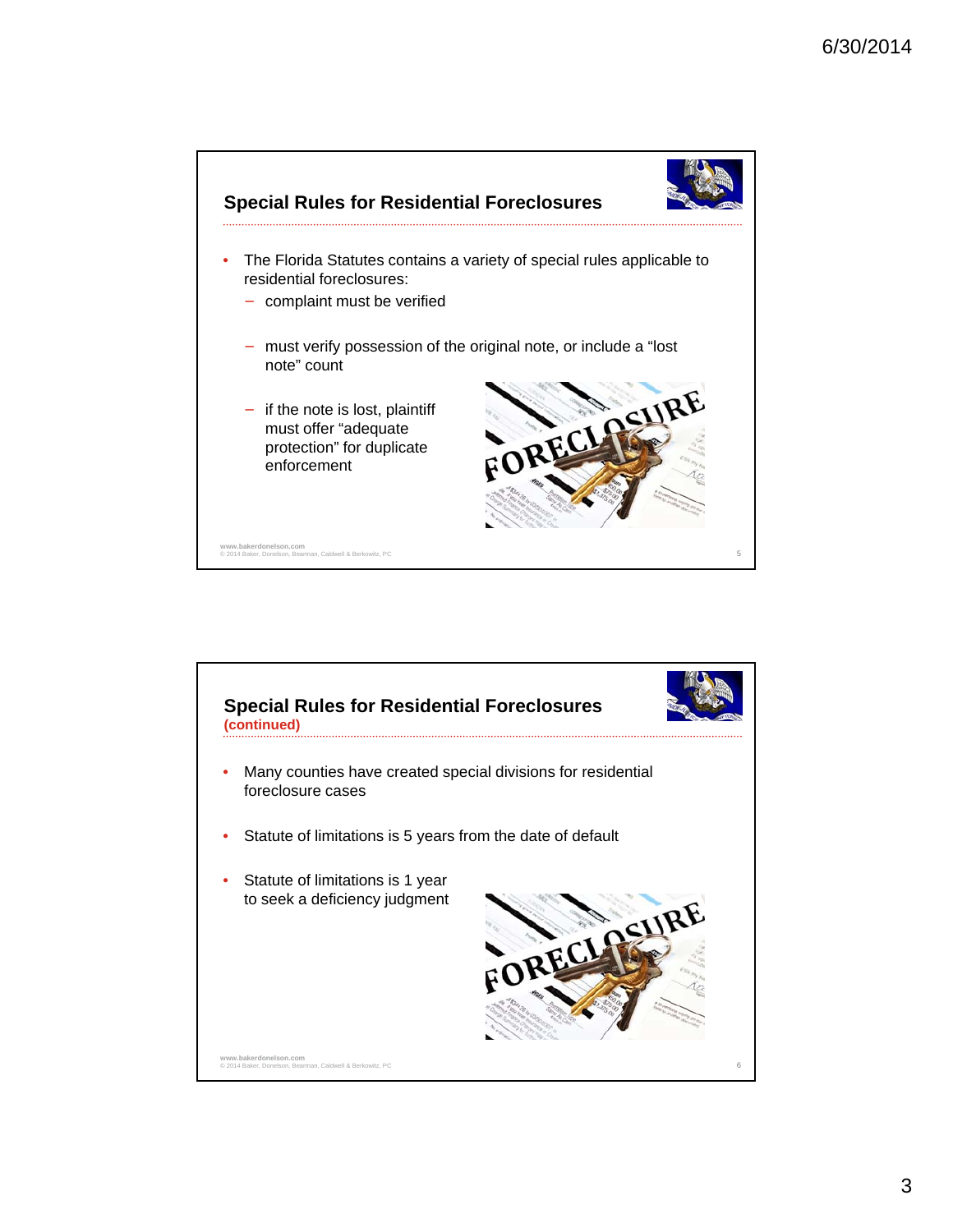

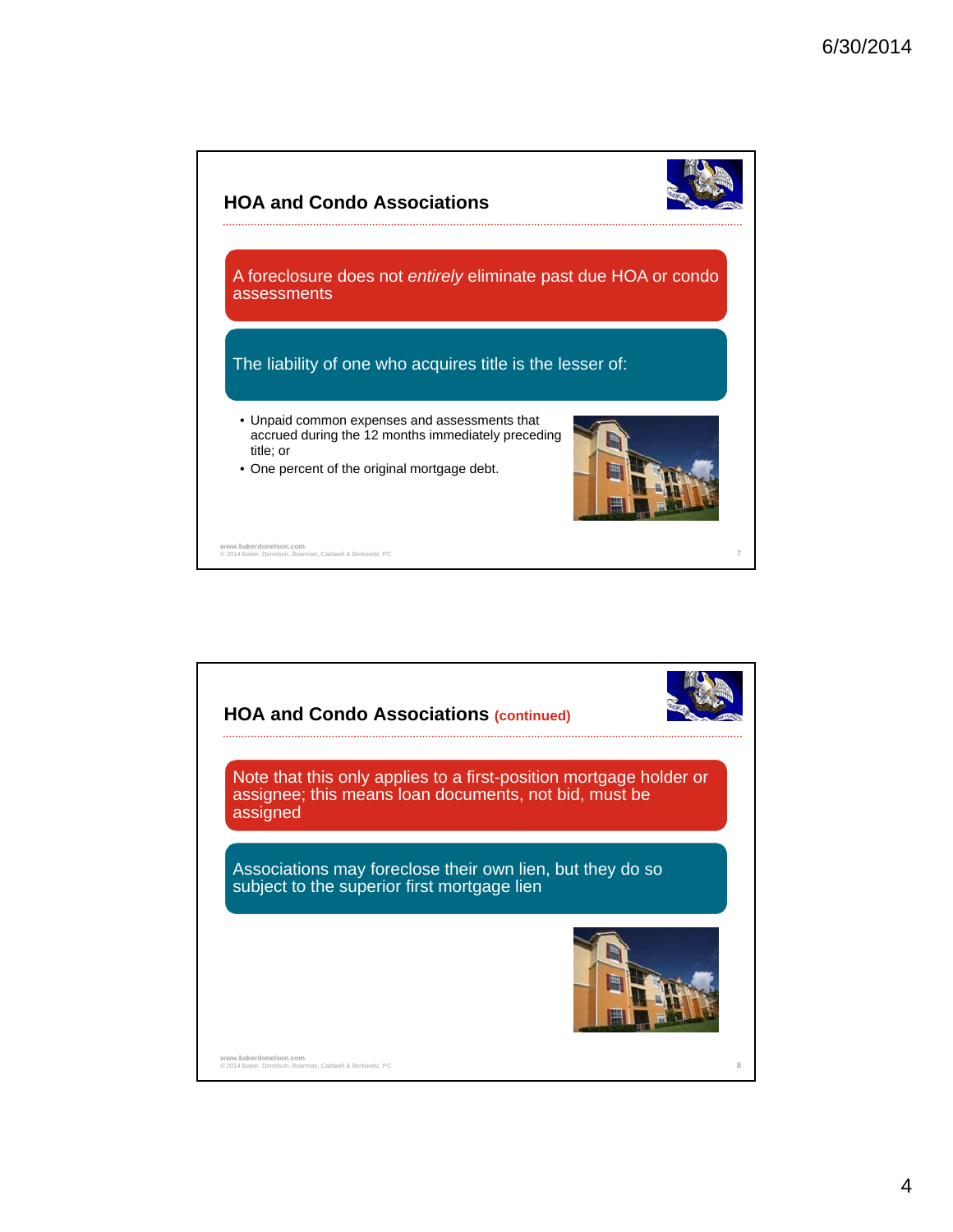

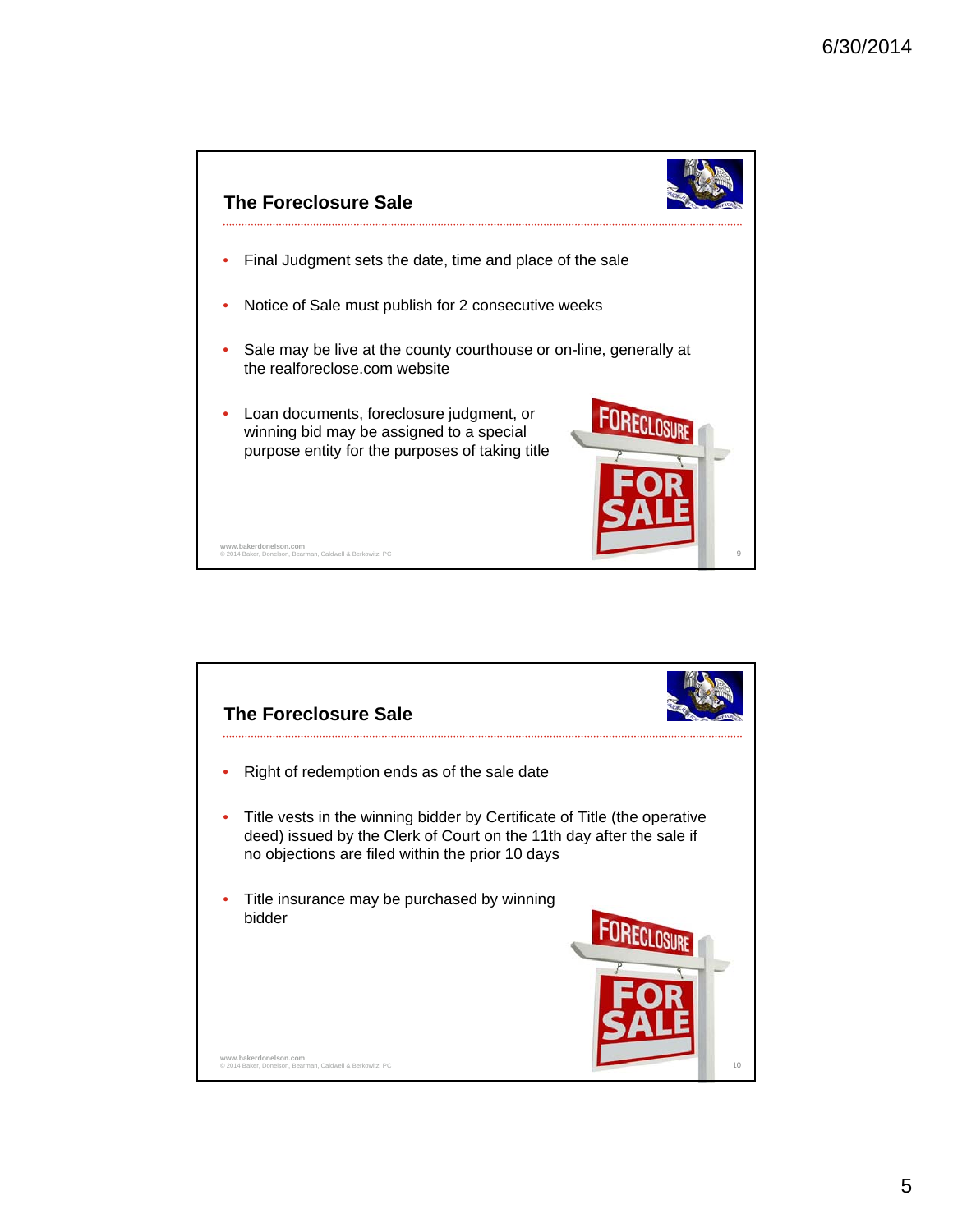

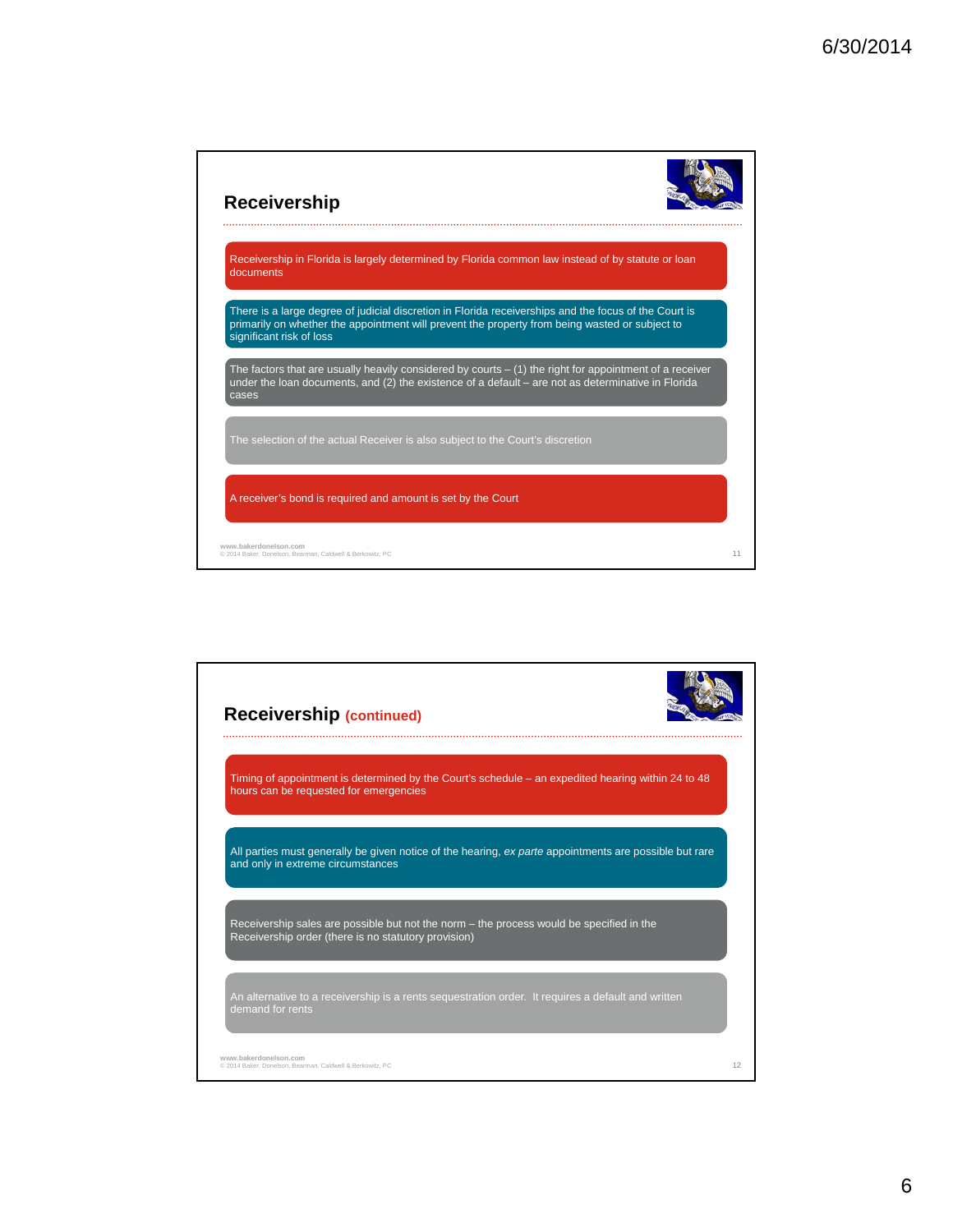

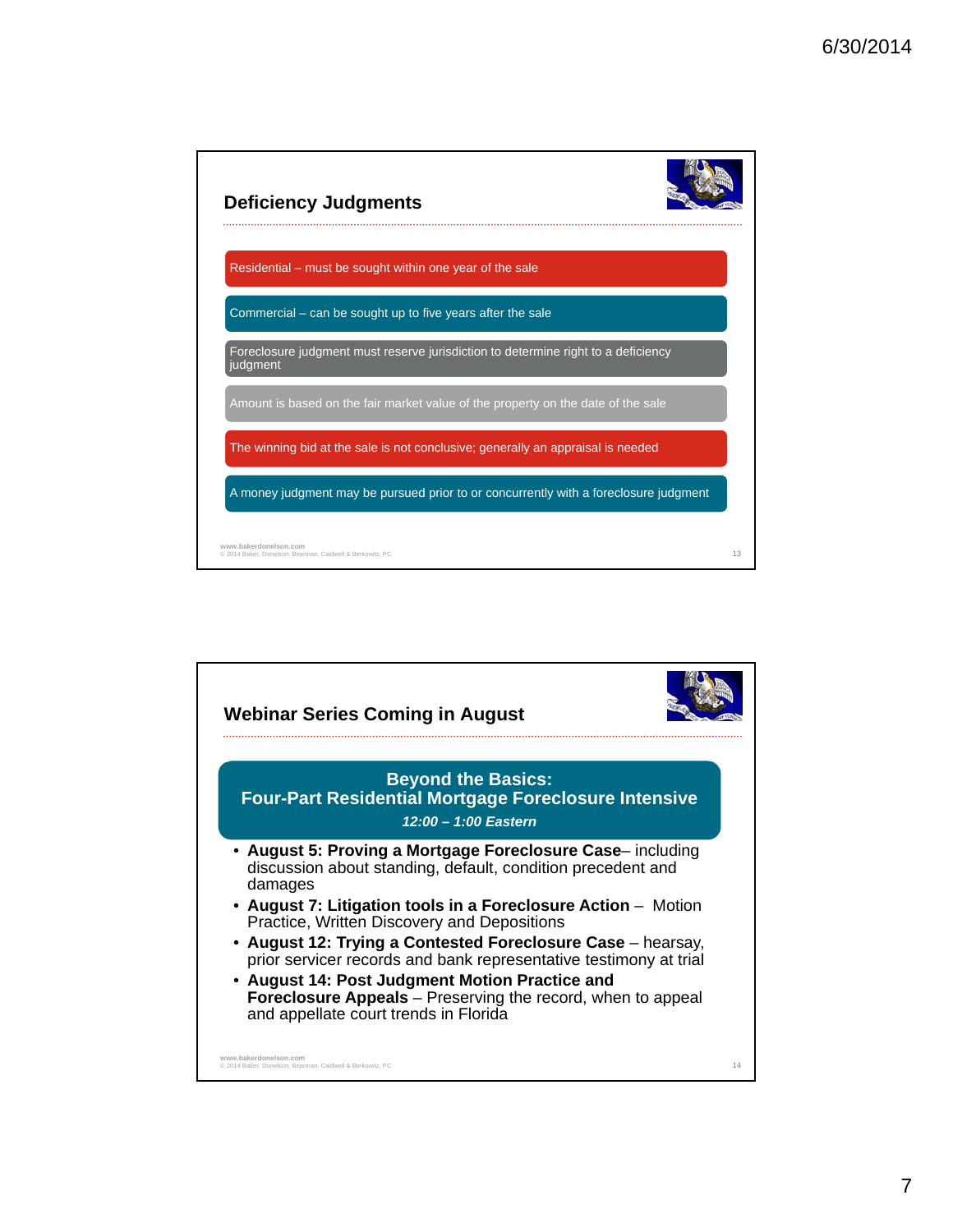